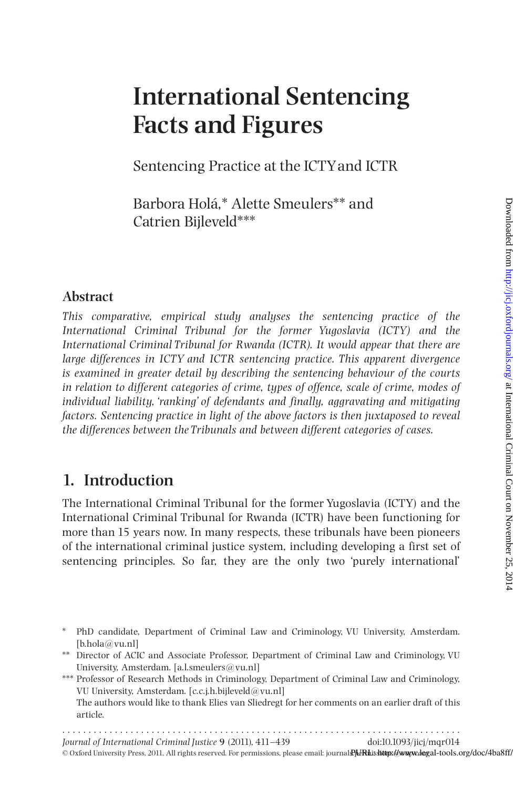# International Sentencing Facts and Figures

Sentencing Practice at the ICTYand ICTR

Barbora Holá,\* Alette Smeulers\*\* and Catrien Bijleveld\*\*\*

# Abstract

This comparative, empirical study analyses the sentencing practice of the International Criminal Tribunal for the former Yugoslavia (ICTY) and the International Criminal Tribunal for Rwanda (ICTR). It would appear that there are large differences in ICTY and ICTR sentencing practice. This apparent divergence is examined in greater detail by describing the sentencing behaviour of the courts in relation to different categories of crime, types of offence, scale of crime, modes of individual liability, 'ranking' of defendants and finally, aggravating and mitigating factors. Sentencing practice in light of the above factors is then juxtaposed to reveal the differences between the Tribunals and between different categories of cases.

# 1. Introduction

The International Criminal Tribunal for the former Yugoslavia (ICTY) and the International Criminal Tribunal for Rwanda (ICTR) have been functioning for more than 15 years now. In many respects, these tribunals have been pioneers of the international criminal justice system, including developing a first set of sentencing principles. So far, they are the only two 'purely international'

\* PhD candidate, Department of Criminal Law and Criminology, VU University, Amsterdam. [b.hola@vu.nl]

The authors would like to thank Elies van Sliedregt for her comments on an earlier draft of this article.

<sup>\*\*</sup> Director of ACIC and Associate Professor, Department of Criminal Law and Criminology, VU University, Amsterdam. [a.l.smeulers@vu.nl]

<sup>\*\*\*</sup> Professor of Research Methods in Criminology, Department of Criminal Law and Criminology, VU University, Amsterdam. [c.c.j.h.bijleveld@vu.nl]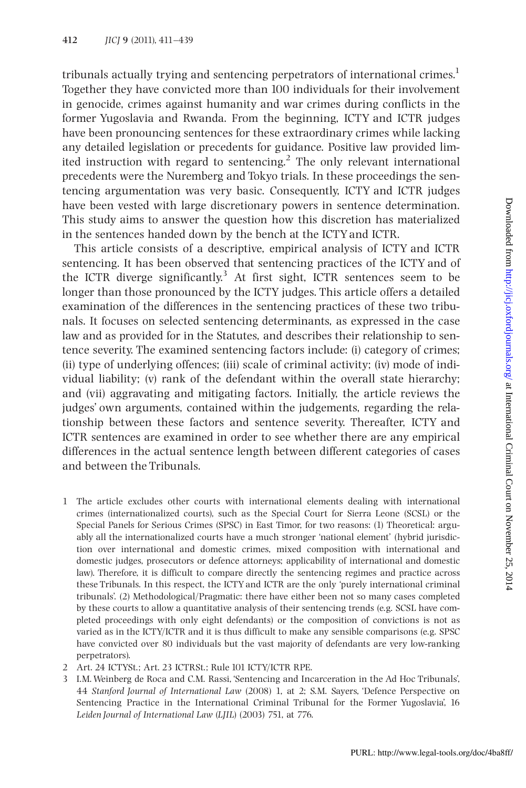tribunals actually trying and sentencing perpetrators of international crimes.<sup>1</sup> Together they have convicted more than 100 individuals for their involvement in genocide, crimes against humanity and war crimes during conflicts in the former Yugoslavia and Rwanda. From the beginning, ICTY and ICTR judges have been pronouncing sentences for these extraordinary crimes while lacking any detailed legislation or precedents for guidance. Positive law provided limited instruction with regard to sentencing.<sup>2</sup> The only relevant international precedents were the Nuremberg and Tokyo trials. In these proceedings the sentencing argumentation was very basic. Consequently, ICTY and ICTR judges have been vested with large discretionary powers in sentence determination. This study aims to answer the question how this discretion has materialized in the sentences handed down by the bench at the ICTY and ICTR.

This article consists of a descriptive, empirical analysis of ICTY and ICTR sentencing. It has been observed that sentencing practices of the ICTY and of the ICTR diverge significantly.3 At first sight, ICTR sentences seem to be longer than those pronounced by the ICTY judges. This article offers a detailed examination of the differences in the sentencing practices of these two tribunals. It focuses on selected sentencing determinants, as expressed in the case law and as provided for in the Statutes, and describes their relationship to sentence severity. The examined sentencing factors include: (i) category of crimes; (ii) type of underlying offences; (iii) scale of criminal activity; (iv) mode of individual liability; (v) rank of the defendant within the overall state hierarchy; and (vii) aggravating and mitigating factors. Initially, the article reviews the judges' own arguments, contained within the judgements, regarding the relationship between these factors and sentence severity. Thereafter, ICTY and ICTR sentences are examined in order to see whether there are any empirical differences in the actual sentence length between different categories of cases and between the Tribunals.

- 1 The article excludes other courts with international elements dealing with international crimes (internationalized courts), such as the Special Court for Sierra Leone (SCSL) or the Special Panels for Serious Crimes (SPSC) in East Timor, for two reasons: (1) Theoretical: arguably all the internationalized courts have a much stronger 'national element' (hybrid jurisdiction over international and domestic crimes, mixed composition with international and domestic judges, prosecutors or defence attorneys; applicability of international and domestic law). Therefore, it is difficult to compare directly the sentencing regimes and practice across these Tribunals. In this respect, the ICTY and ICTR are the only 'purely international criminal tribunals'. (2) Methodological/Pragmatic: there have either been not so many cases completed by these courts to allow a quantitative analysis of their sentencing trends (e.g. SCSL have completed proceedings with only eight defendants) or the composition of convictions is not as varied as in the ICTY/ICTR and it is thus difficult to make any sensible comparisons (e.g. SPSC have convicted over 80 individuals but the vast majority of defendants are very low-ranking perpetrators).
- 2 Art. 24 ICTYSt.; Art. 23 ICTRSt.; Rule 101 ICTY/ICTR RPE.
- 3 I.M. Weinberg de Roca and C.M. Rassi, 'Sentencing and Incarceration in the Ad Hoc Tribunals', 44 Stanford Journal of International Law (2008) 1, at 2; S.M. Sayers, 'Defence Perspective on Sentencing Practice in the International Criminal Tribunal for the Former Yugoslavia', 16 Leiden Journal of International Law (LJIL) (2003) 751, at 776.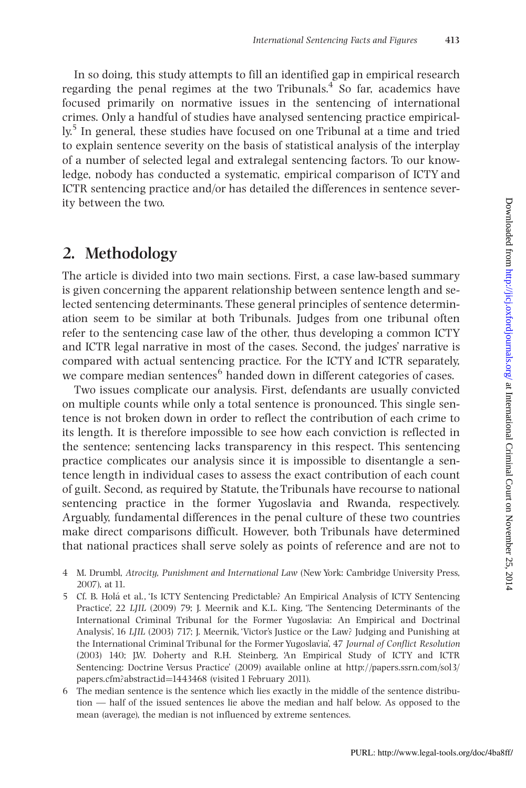In so doing, this study attempts to fill an identified gap in empirical research regarding the penal regimes at the two Tribunals. $4$  So far, academics have focused primarily on normative issues in the sentencing of international crimes. Only a handful of studies have analysed sentencing practice empirically.<sup>5</sup> In general, these studies have focused on one Tribunal at a time and tried to explain sentence severity on the basis of statistical analysis of the interplay of a number of selected legal and extralegal sentencing factors. To our knowledge, nobody has conducted a systematic, empirical comparison of ICTY and ICTR sentencing practice and/or has detailed the differences in sentence severity between the two.

# 2. Methodology

The article is divided into two main sections. First, a case law-based summary is given concerning the apparent relationship between sentence length and selected sentencing determinants. These general principles of sentence determination seem to be similar at both Tribunals. Judges from one tribunal often refer to the sentencing case law of the other, thus developing a common ICTY and ICTR legal narrative in most of the cases. Second, the judges' narrative is compared with actual sentencing practice. For the ICTY and ICTR separately, we compare median sentences<sup>6</sup> handed down in different categories of cases.

Two issues complicate our analysis. First, defendants are usually convicted on multiple counts while only a total sentence is pronounced. This single sentence is not broken down in order to reflect the contribution of each crime to its length. It is therefore impossible to see how each conviction is reflected in the sentence; sentencing lacks transparency in this respect. This sentencing practice complicates our analysis since it is impossible to disentangle a sentence length in individual cases to assess the exact contribution of each count of guilt. Second, as required by Statute, the Tribunals have recourse to national sentencing practice in the former Yugoslavia and Rwanda, respectively. Arguably, fundamental differences in the penal culture of these two countries make direct comparisons difficult. However, both Tribunals have determined that national practices shall serve solely as points of reference and are not to

- 4 M. Drumbl, Atrocity, Punishment and International Law (New York: Cambridge University Press, 2007), at 11.
- 5 Cf. B. Holá et al., 'Is ICTY Sentencing Predictable? An Empirical Analysis of ICTY Sentencing Practice', 22 LJIL (2009) 79; J. Meernik and K.L. King, 'The Sentencing Determinants of the International Criminal Tribunal for the Former Yugoslavia: An Empirical and Doctrinal Analysis', 16 LJIL (2003) 717; J. Meernik, 'Victor's Justice or the Law? Judging and Punishing at the International Criminal Tribunal for the Former Yugoslavia', 47 Journal of Conflict Resolution (2003) 140; J.W. Doherty and R.H. Steinberg, 'An Empirical Study of ICTY and ICTR Sentencing: Doctrine Versus Practice' (2009) available online at http://papers.ssrn.com/sol3/ papers.cfm?abstract.id=1443468 (visited 1 February 2011).
- 6 The median sentence is the sentence which lies exactly in the middle of the sentence distribution — half of the issued sentences lie above the median and half below. As opposed to the mean (average), the median is not influenced by extreme sentences.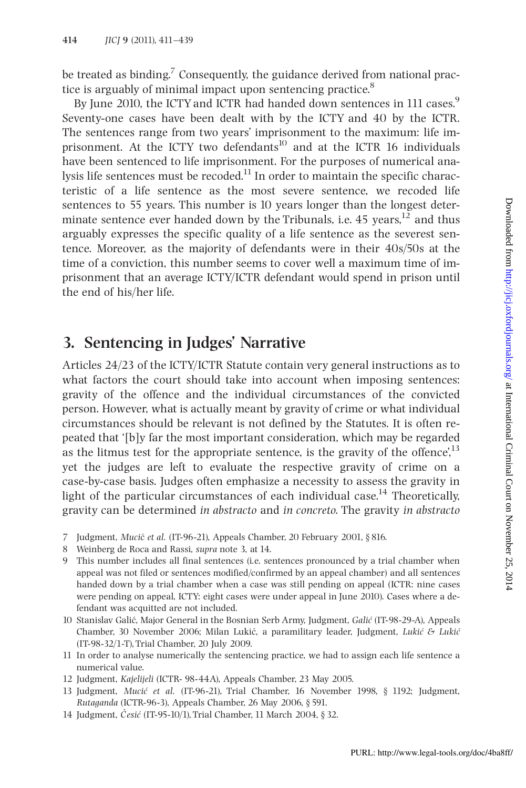be treated as binding.<sup>7</sup> Consequently, the guidance derived from national practice is arguably of minimal impact upon sentencing practice. $8$ 

By June 2010, the ICTY and ICTR had handed down sentences in 111 cases.<sup>9</sup> Seventy-one cases have been dealt with by the ICTY and 40 by the ICTR. The sentences range from two years' imprisonment to the maximum: life imprisonment. At the ICTY two defendants<sup>10</sup> and at the ICTR 16 individuals have been sentenced to life imprisonment. For the purposes of numerical analysis life sentences must be recoded.<sup>11</sup> In order to maintain the specific characteristic of a life sentence as the most severe sentence, we recoded life sentences to 55 years. This number is 10 years longer than the longest determinate sentence ever handed down by the Tribunals, i.e.  $45$  years,  $12$  and thus arguably expresses the specific quality of a life sentence as the severest sentence. Moreover, as the majority of defendants were in their 40s/50s at the time of a conviction, this number seems to cover well a maximum time of imprisonment that an average ICTY/ICTR defendant would spend in prison until the end of his/her life.

# 3. Sentencing in Judges' Narrative

Articles 24/23 of the ICTY/ICTR Statute contain very general instructions as to what factors the court should take into account when imposing sentences: gravity of the offence and the individual circumstances of the convicted person. However, what is actually meant by gravity of crime or what individual circumstances should be relevant is not defined by the Statutes. It is often repeated that '[b]y far the most important consideration, which may be regarded as the litmus test for the appropriate sentence, is the gravity of the offence', $^{13}$ yet the judges are left to evaluate the respective gravity of crime on a case-by-case basis. Judges often emphasize a necessity to assess the gravity in light of the particular circumstances of each individual case.<sup>14</sup> Theoretically, gravity can be determined in abstracto and in concreto. The gravity in abstracto

- 7 Judgment, Mucić et al. (IT-96-21), Appeals Chamber, 20 February 2001, § 816.
- 8 Weinberg de Roca and Rassi, supra note 3, at 14.
- 9 This number includes all final sentences (i.e. sentences pronounced by a trial chamber when appeal was not filed or sentences modified/confirmed by an appeal chamber) and all sentences handed down by a trial chamber when a case was still pending on appeal (ICTR: nine cases were pending on appeal, ICTY: eight cases were under appeal in June 2010). Cases where a defendant was acquitted are not included.
- 10 Stanislav Galić, Major General in the Bosnian Serb Army, Judgment, Galić (IT-98-29-A), Appeals Chamber, 30 November 2006; Milan Lukić, a paramilitary leader, Judgment, Lukić & Lukić (IT-98-32/1-T), Trial Chamber, 20 July 2009.
- 11 In order to analyse numerically the sentencing practice, we had to assign each life sentence a numerical value.
- 12 Judgment, Kajelijeli (ICTR- 98-44A), Appeals Chamber, 23 May 2005.
- 13 Judgment, Mucić et al. (IT-96-21), Trial Chamber, 16 November 1998,  $\S$  1192; Judgment, Rutaganda (ICTR-96-3), Appeals Chamber, 26 May 2006, § 591.
- 14 Judgment, Česić (IT-95-10/1), Trial Chamber, 11 March 2004, § 32.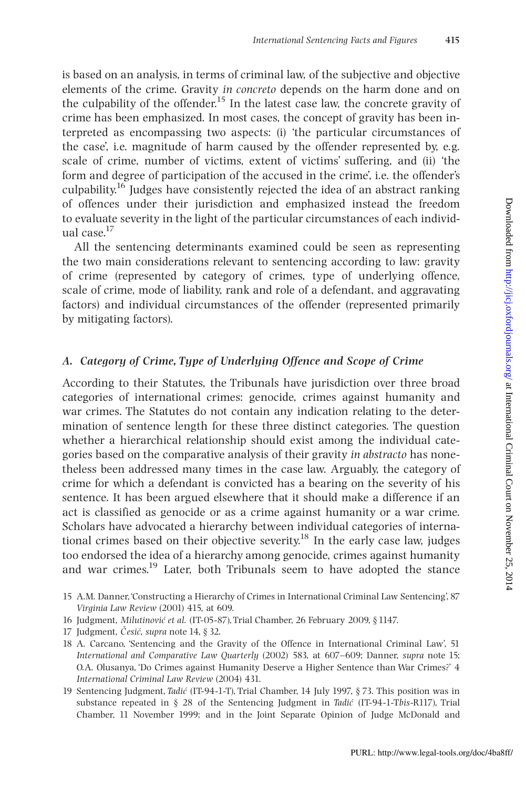is based on an analysis, in terms of criminal law, of the subjective and objective elements of the crime. Gravity in concreto depends on the harm done and on the culpability of the offender.<sup>15</sup> In the latest case law, the concrete gravity of crime has been emphasized. In most cases, the concept of gravity has been interpreted as encompassing two aspects: (i) 'the particular circumstances of the case', i.e. magnitude of harm caused by the offender represented by, e.g. scale of crime, number of victims, extent of victims' suffering, and (ii) 'the form and degree of participation of the accused in the crime', i.e. the offender's culpability.<sup>16</sup> Judges have consistently rejected the idea of an abstract ranking of offences under their jurisdiction and emphasized instead the freedom to evaluate severity in the light of the particular circumstances of each individual case.17

All the sentencing determinants examined could be seen as representing the two main considerations relevant to sentencing according to law: gravity of crime (represented by category of crimes, type of underlying offence, scale of crime, mode of liability, rank and role of a defendant, and aggravating factors) and individual circumstances of the offender (represented primarily by mitigating factors).

# A. Category of Crime, Type of Underlying Offence and Scope of Crime

According to their Statutes, the Tribunals have jurisdiction over three broad categories of international crimes: genocide, crimes against humanity and war crimes. The Statutes do not contain any indication relating to the determination of sentence length for these three distinct categories. The question whether a hierarchical relationship should exist among the individual categories based on the comparative analysis of their gravity in abstracto has nonetheless been addressed many times in the case law. Arguably, the category of crime for which a defendant is convicted has a bearing on the severity of his sentence. It has been argued elsewhere that it should make a difference if an act is classified as genocide or as a crime against humanity or a war crime. Scholars have advocated a hierarchy between individual categories of international crimes based on their objective severity.<sup>18</sup> In the early case law, judges too endorsed the idea of a hierarchy among genocide, crimes against humanity and war crimes.19 Later, both Tribunals seem to have adopted the stance

- 17 Judgment, Česić, supra note 14,  $\S 32$ .
- 18 A. Carcano, 'Sentencing and the Gravity of the Offence in International Criminal Law', 51 International and Comparative Law Quarterly (2002) 583, at 607-609; Danner, supra note 15; O.A. Olusanya, 'Do Crimes against Humanity Deserve a Higher Sentence than War Crimes?' 4 International Criminal Law Review (2004) 431.
- 19 Sentencing Judgment, *Tadić* (IT-94-1-T), Trial Chamber, 14 July 1997,  $\S$  73. This position was in substance repeated in  $\S$  28 of the Sentencing Judgment in Tadić (IT-94-1-Tbis-R117), Trial Chamber, 11 November 1999; and in the Joint Separate Opinion of Judge McDonald and

<sup>15</sup> A.M. Danner,'Constructing a Hierarchy of Crimes in International Criminal Law Sentencing', 87 Virginia Law Review (2001) 415, at 609.

<sup>16</sup> Judgment, Milutinović et al. (IT-05-87), Trial Chamber, 26 February 2009, § 1147.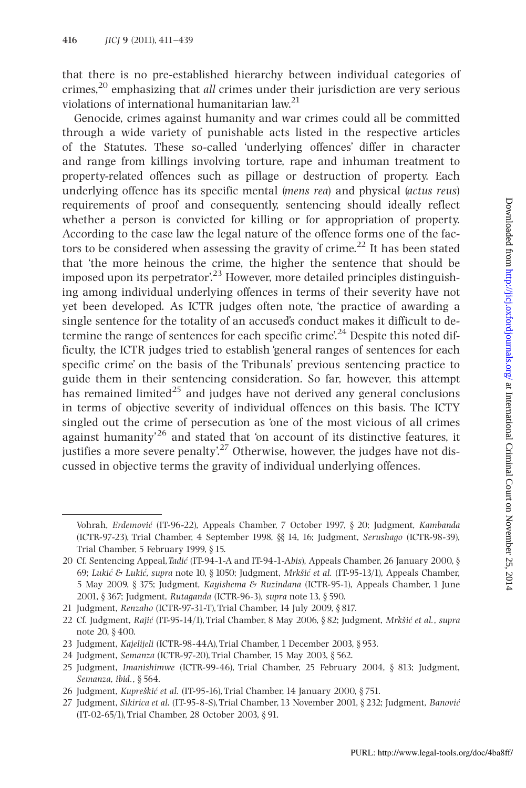that there is no pre-established hierarchy between individual categories of crimes, $^{20}$  emphasizing that *all* crimes under their jurisdiction are very serious violations of international humanitarian law.21

Genocide, crimes against humanity and war crimes could all be committed through a wide variety of punishable acts listed in the respective articles of the Statutes. These so-called 'underlying offences' differ in character and range from killings involving torture, rape and inhuman treatment to property-related offences such as pillage or destruction of property. Each underlying offence has its specific mental (mens rea) and physical (actus reus) requirements of proof and consequently, sentencing should ideally reflect whether a person is convicted for killing or for appropriation of property. According to the case law the legal nature of the offence forms one of the factors to be considered when assessing the gravity of crime.<sup>22</sup> It has been stated that 'the more heinous the crime, the higher the sentence that should be imposed upon its perpetrator.<sup>23</sup> However, more detailed principles distinguishing among individual underlying offences in terms of their severity have not yet been developed. As ICTR judges often note, 'the practice of awarding a single sentence for the totality of an accused's conduct makes it difficult to determine the range of sentences for each specific crime'.<sup>24</sup> Despite this noted difficulty, the ICTR judges tried to establish 'general ranges of sentences for each specific crime' on the basis of the Tribunals' previous sentencing practice to guide them in their sentencing consideration. So far, however, this attempt has remained limited<sup>25</sup> and judges have not derived any general conclusions in terms of objective severity of individual offences on this basis. The ICTY singled out the crime of persecution as 'one of the most vicious of all crimes against humanity<sup>26</sup> and stated that 'on account of its distinctive features, it justifies a more severe penalty<sup>27</sup> Otherwise, however, the judges have not discussed in objective terms the gravity of individual underlying offences.

Vohrah, Erdemović (IT-96-22), Appeals Chamber, 7 October 1997, § 20; Judgment, Kambanda (ICTR-97-23), Trial Chamber, 4 September 1998, §§ 14, 16; Judgment, Serushago (ICTR-98-39), Trial Chamber, 5 February 1999, §15.

<sup>20</sup> Cf. Sentencing Appeal, Tadić (IT-94-1-A and IT-94-1-Abis), Appeals Chamber, 26 January 2000,  $\S$ 69; Lukić & Lukić, supra note 10, § 1050; Judgment, Mrkšić et al. (IT-95-13/1), Appeals Chamber, 5 May 2009, § 375; Judgment, Kayishema & Ruzindana (ICTR-95-1), Appeals Chamber, 1 June 2001, § 367; Judgment, Rutaganda (ICTR-96-3), supra note 13, § 590.

<sup>21</sup> Judgment, Renzaho (ICTR-97-31-T), Trial Chamber, 14 July 2009, § 817.

<sup>22</sup> Cf. Judgment, Rajić (IT-95-14/1), Trial Chamber, 8 May 2006, § 82; Judgment, Mrkšić et al., supra note 20, § 400.

<sup>23</sup> Judgment, Kajelijeli (ICTR-98-44A), Trial Chamber, 1 December 2003, § 953.

<sup>24</sup> Judgment, Semanza (ICTR-97-20), Trial Chamber, 15 May 2003, § 562.

<sup>25</sup> Judgment, *Imanishimwe* (ICTR-99-46), Trial Chamber, 25 February 2004, § 813; Judgment, Semanza, ibid., § 564.

<sup>26</sup> Judgment, Kupreškić et al. (IT-95-16), Trial Chamber, 14 January 2000,  $\S 751$ .

<sup>27</sup> Judgment, Sikirica et al. (IT-95-8-S), Trial Chamber, 13 November 2001, § 232; Judgment, Banović  $(IT-02-65/1)$ , Trial Chamber, 28 October 2003, § 91.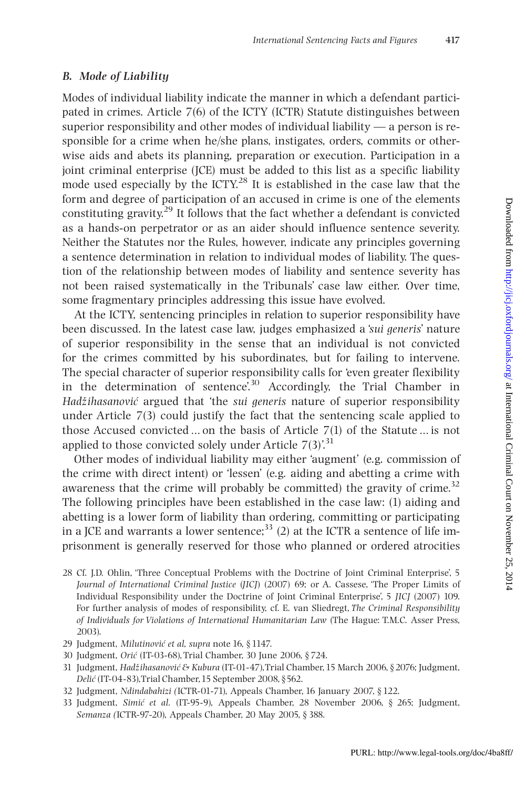## B. Mode of Liability

Modes of individual liability indicate the manner in which a defendant participated in crimes. Article 7(6) of the ICTY (ICTR) Statute distinguishes between superior responsibility and other modes of individual liability  $\frac{1}{2}$  a person is responsible for a crime when he/she plans, instigates, orders, commits or otherwise aids and abets its planning, preparation or execution. Participation in a joint criminal enterprise (JCE) must be added to this list as a specific liability mode used especially by the ICTY.<sup>28</sup> It is established in the case law that the form and degree of participation of an accused in crime is one of the elements constituting gravity.<sup>29</sup> It follows that the fact whether a defendant is convicted as a hands-on perpetrator or as an aider should influence sentence severity. Neither the Statutes nor the Rules, however, indicate any principles governing a sentence determination in relation to individual modes of liability. The question of the relationship between modes of liability and sentence severity has not been raised systematically in the Tribunals' case law either. Over time, some fragmentary principles addressing this issue have evolved.

At the ICTY, sentencing principles in relation to superior responsibility have been discussed. In the latest case law, judges emphasized a 'sui generis' nature of superior responsibility in the sense that an individual is not convicted for the crimes committed by his subordinates, but for failing to intervene. The special character of superior responsibility calls for 'even greater flexibility in the determination of sentence'.<sup>30</sup> Accordingly, the Trial Chamber in Hadžihasanović argued that 'the sui generis nature of superior responsibility under Article 7(3) could justify the fact that the sentencing scale applied to those Accused convicted ::: on the basis of Article 7(1) of the Statute ::: is not applied to those convicted solely under Article  $7(3)$ <sup>'.31</sup>

Other modes of individual liability may either 'augment' (e.g. commission of the crime with direct intent) or 'lessen' (e.g. aiding and abetting a crime with awareness that the crime will probably be committed) the gravity of crime.<sup>32</sup> The following principles have been established in the case law: (1) aiding and abetting is a lower form of liability than ordering, committing or participating in a JCE and warrants a lower sentence; $33$  (2) at the ICTR a sentence of life imprisonment is generally reserved for those who planned or ordered atrocities

- 28 Cf. J.D. Ohlin, 'Three Conceptual Problems with the Doctrine of Joint Criminal Enterprise', 5 Journal of International Criminal Justice (JICJ) (2007) 69; or A. Cassese, 'The Proper Limits of Individual Responsibility under the Doctrine of Joint Criminal Enterprise', 5 JICJ (2007) 109. For further analysis of modes of responsibility, cf. E. van Sliedregt, The Criminal Responsibility of Individuals for Violations of International Humanitarian Law (The Hague: T.M.C. Asser Press, 2003).
- 29 Judgment, Milutinović et al, supra note 16, § 1147.
- 30 Judgment, *Orić* (IT-03-68), Trial Chamber, 30 June 2006, §724.
- 31 Judgment, Hadžihasanović & Kubura (IT-01-47),Trial Chamber, 15 March 2006, § 2076; Judgment, Delić (IT-04-83),Trial Chamber, 15 September 2008, §562.
- 32 Judgment, Ndindabahizi (ICTR-01-71), Appeals Chamber, 16 January 2007, § 122.
- 33 Judgment, Simić et al. (IT-95-9), Appeals Chamber, 28 November 2006, § 265; Judgment, Semanza (ICTR-97-20), Appeals Chamber, 20 May 2005, § 388.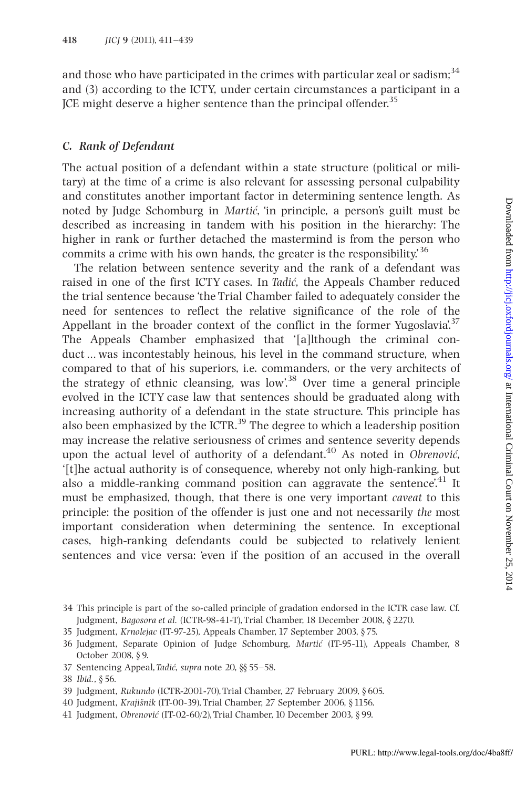and those who have participated in the crimes with particular zeal or sadism;<sup>34</sup> and (3) according to the ICTY, under certain circumstances a participant in a JCE might deserve a higher sentence than the principal offender.<sup>35</sup>

### C. Rank of Defendant

The actual position of a defendant within a state structure (political or military) at the time of a crime is also relevant for assessing personal culpability and constitutes another important factor in determining sentence length. As noted by Judge Schomburg in *Martić*, 'in principle, a person's guilt must be described as increasing in tandem with his position in the hierarchy: The higher in rank or further detached the mastermind is from the person who commits a crime with his own hands, the greater is the responsibility.<sup>36</sup>

The relation between sentence severity and the rank of a defendant was raised in one of the first ICTY cases. In Tadić, the Appeals Chamber reduced the trial sentence because 'the Trial Chamber failed to adequately consider the need for sentences to reflect the relative significance of the role of the Appellant in the broader context of the conflict in the former Yugoslavia<sup>'37</sup> The Appeals Chamber emphasized that '[a]lthough the criminal conduct ... was incontestably heinous, his level in the command structure, when compared to that of his superiors, i.e. commanders, or the very architects of the strategy of ethnic cleansing, was low'.<sup>38</sup> Over time a general principle evolved in the ICTY case law that sentences should be graduated along with increasing authority of a defendant in the state structure. This principle has also been emphasized by the ICTR.<sup>39</sup> The degree to which a leadership position may increase the relative seriousness of crimes and sentence severity depends upon the actual level of authority of a defendant. $40$  As noted in Obrenović, '[t]he actual authority is of consequence, whereby not only high-ranking, but also a middle-ranking command position can aggravate the sentence'. $41$  It must be emphasized, though, that there is one very important caveat to this principle: the position of the offender is just one and not necessarily the most important consideration when determining the sentence. In exceptional cases, high-ranking defendants could be subjected to relatively lenient sentences and vice versa: 'even if the position of an accused in the overall

- 35 Judgment, Krnolejac (IT-97-25), Appeals Chamber, 17 September 2003, § 75.
- 36 Judgment, Separate Opinion of Judge Schomburg, Martić (IT-95-11), Appeals Chamber, 8 October 2008, § 9.
- 37 Sentencing Appeal, Tadić, supra note 20, §§ 55-58.

- 40 Judgment, Krajišnik (IT-00-39), Trial Chamber, 27 September 2006, § 1156.
- 41 Judgment, Obrenović (IT-02-60/2), Trial Chamber, 10 December 2003, § 99.

<sup>34</sup> This principle is part of the so-called principle of gradation endorsed in the ICTR case law. Cf. Judgment, Bagosora et al. (ICTR-98-41-T), Trial Chamber, 18 December 2008, § 2270.

<sup>38</sup> Ibid., § 56.

<sup>39</sup> Judgment, Rukundo (ICTR-2001-70), Trial Chamber, 27 February 2009, § 605.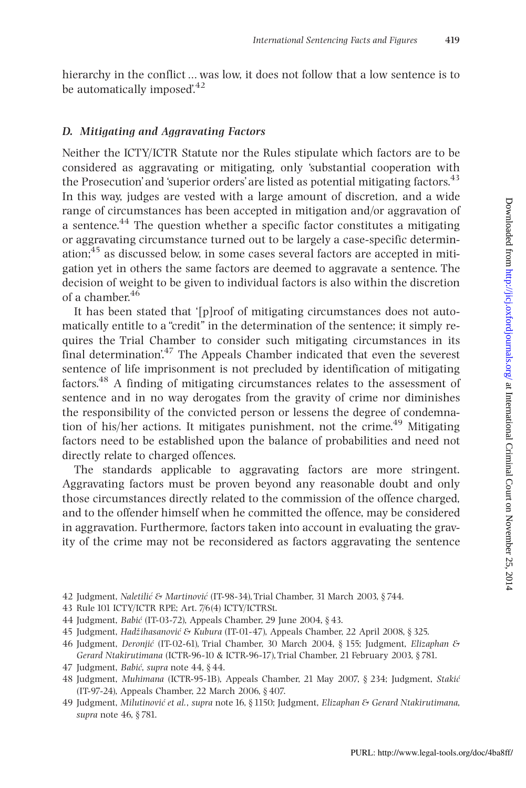hierarchy in the conflict ... was low, it does not follow that a low sentence is to be automatically imposed. $42$ 

### D. Mitigating and Aggravating Factors

Neither the ICTY/ICTR Statute nor the Rules stipulate which factors are to be considered as aggravating or mitigating, only 'substantial cooperation with the Prosecution' and 'superior orders' are listed as potential mitigating factors.<sup>43</sup> In this way, judges are vested with a large amount of discretion, and a wide range of circumstances has been accepted in mitigation and/or aggravation of a sentence.<sup>44</sup> The question whether a specific factor constitutes a mitigating or aggravating circumstance turned out to be largely a case-specific determination;45 as discussed below, in some cases several factors are accepted in mitigation yet in others the same factors are deemed to aggravate a sentence. The decision of weight to be given to individual factors is also within the discretion of a chamber.<sup>46</sup>

It has been stated that '[p]roof of mitigating circumstances does not automatically entitle to a "credit" in the determination of the sentence; it simply requires the Trial Chamber to consider such mitigating circumstances in its final determination'. $47$  The Appeals Chamber indicated that even the severest sentence of life imprisonment is not precluded by identification of mitigating factors.48 A finding of mitigating circumstances relates to the assessment of sentence and in no way derogates from the gravity of crime nor diminishes the responsibility of the convicted person or lessens the degree of condemnation of his/her actions. It mitigates punishment, not the crime.<sup>49</sup> Mitigating factors need to be established upon the balance of probabilities and need not directly relate to charged offences.

The standards applicable to aggravating factors are more stringent. Aggravating factors must be proven beyond any reasonable doubt and only those circumstances directly related to the commission of the offence charged, and to the offender himself when he committed the offence, may be considered in aggravation. Furthermore, factors taken into account in evaluating the gravity of the crime may not be reconsidered as factors aggravating the sentence

- 45 Judgment, Hadžihasanović & Kubura (IT-01-47), Appeals Chamber, 22 April 2008, § 325.
- 46 Judgment, *Deronjić* (IT-02-61), Trial Chamber, 30 March 2004, § 155; Judgment, *Elizaphan &* Gerard Ntakirutimana (ICTR-96-10 & ICTR-96-17), Trial Chamber, 21 February 2003, § 781.
- 47 Judgment, Babić, supra note 44, § 44.
- 48 Judgment, Muhimana (ICTR-95-1B), Appeals Chamber, 21 May 2007, § 234; Judgment, Stakić  $(IT-97-24)$ , Appeals Chamber, 22 March 2006,  $§ 407$ .
- 49 Judgment, Milutinović et al., supra note 16, § 1150; Judgment, Elizaphan & Gerard Ntakirutimana, supra note 46, §781.

<sup>42</sup> Judgment, Naletilić & Martinović (IT-98-34), Trial Chamber, 31 March 2003, §744.

<sup>43</sup> Rule 101 ICTY/ICTR RPE; Art. 7/6(4) ICTY/ICTRSt.

<sup>44</sup> Judgment, Babić (IT-03-72), Appeals Chamber, 29 June 2004, § 43.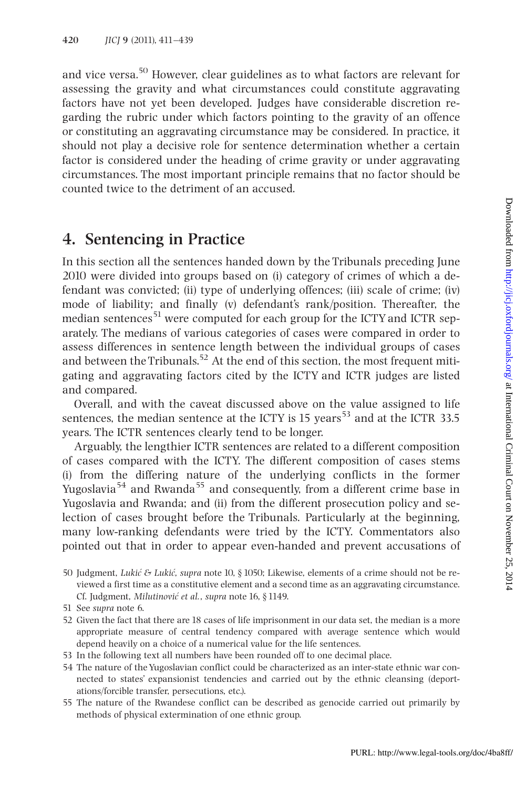and vice versa. <sup>50</sup> However, clear guidelines as to what factors are relevant for assessing the gravity and what circumstances could constitute aggravating factors have not yet been developed. Judges have considerable discretion regarding the rubric under which factors pointing to the gravity of an offence or constituting an aggravating circumstance may be considered. In practice, it should not play a decisive role for sentence determination whether a certain factor is considered under the heading of crime gravity or under aggravating circumstances. The most important principle remains that no factor should be counted twice to the detriment of an accused.

# 4. Sentencing in Practice

In this section all the sentences handed down by the Tribunals preceding June 2010 were divided into groups based on (i) category of crimes of which a defendant was convicted; (ii) type of underlying offences; (iii) scale of crime; (iv) mode of liability; and finally (v) defendant's rank/position. Thereafter, the median sentences<sup>51</sup> were computed for each group for the ICTY and ICTR separately. The medians of various categories of cases were compared in order to assess differences in sentence length between the individual groups of cases and between the Tribunals.<sup>52</sup> At the end of this section, the most frequent mitigating and aggravating factors cited by the ICTY and ICTR judges are listed and compared.

Overall, and with the caveat discussed above on the value assigned to life sentences, the median sentence at the ICTY is 15 years<sup>53</sup> and at the ICTR 33.5 years. The ICTR sentences clearly tend to be longer.

Arguably, the lengthier ICTR sentences are related to a different composition of cases compared with the ICTY. The different composition of cases stems (i) from the differing nature of the underlying conflicts in the former Yugoslavia<sup>54</sup> and Rwanda<sup>55</sup> and consequently, from a different crime base in Yugoslavia and Rwanda; and (ii) from the different prosecution policy and selection of cases brought before the Tribunals. Particularly at the beginning, many low-ranking defendants were tried by the ICTY. Commentators also pointed out that in order to appear even-handed and prevent accusations of

- 50 Judgment, Lukić & Lukić, supra note 10, § 1050; Likewise, elements of a crime should not be reviewed a first time as a constitutive element and a second time as an aggravating circumstance. Cf. Judgment, Milutinović et al., supra note 16, § 1149.
- 51 See supra note 6.
- 52 Given the fact that there are 18 cases of life imprisonment in our data set, the median is a more appropriate measure of central tendency compared with average sentence which would depend heavily on a choice of a numerical value for the life sentences.
- 53 In the following text all numbers have been rounded off to one decimal place.
- 54 The nature of the Yugoslavian conflict could be characterized as an inter-state ethnic war connected to states' expansionist tendencies and carried out by the ethnic cleansing (deportations/forcible transfer, persecutions, etc.).
- 55 The nature of the Rwandese conflict can be described as genocide carried out primarily by methods of physical extermination of one ethnic group.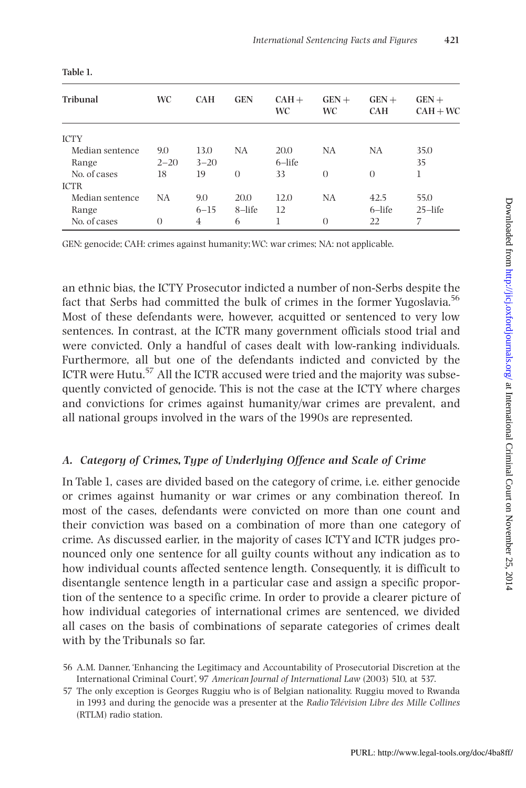| Tribunal        | WC       | <b>CAH</b>     | <b>GEN</b> | $CAH +$<br><b>WC</b> | $GEN +$<br><b>WC</b> | $GEN +$<br><b>CAH</b> | $GEN +$<br>$CAH + WC$ |
|-----------------|----------|----------------|------------|----------------------|----------------------|-----------------------|-----------------------|
| <b>ICTY</b>     |          |                |            |                      |                      |                       |                       |
| Median sentence | 9.0      | 13.0           | NA         | 20.0                 | NA                   | NΑ                    | 35.0                  |
| Range           | $2 - 20$ | $3 - 20$       |            | $6$ -life            |                      |                       | 35                    |
| No. of cases    | 18       | 19             | $\theta$   | 33                   | $\Omega$             | $\theta$              |                       |
| <b>ICTR</b>     |          |                |            |                      |                      |                       |                       |
| Median sentence | NA       | 9.0            | 20.0       | 12.0                 | NA                   | 42.5                  | 55.0                  |
| Range           |          | $6 - 15$       | 8-life     | 12                   |                      | 6-life                | $25$ -life            |
| No. of cases    | $\Omega$ | $\overline{4}$ | 6          | 1                    | $\Omega$             | 22                    |                       |

Table 1.

GEN: genocide; CAH: crimes against humanity;WC: war crimes; NA: not applicable.

an ethnic bias, the ICTY Prosecutor indicted a number of non-Serbs despite the fact that Serbs had committed the bulk of crimes in the former Yugoslavia.<sup>56</sup> Most of these defendants were, however, acquitted or sentenced to very low sentences. In contrast, at the ICTR many government officials stood trial and were convicted. Only a handful of cases dealt with low-ranking individuals. Furthermore, all but one of the defendants indicted and convicted by the ICTR were Hutu.<sup>57</sup> All the ICTR accused were tried and the majority was subsequently convicted of genocide. This is not the case at the ICTY where charges and convictions for crimes against humanity/war crimes are prevalent, and all national groups involved in the wars of the 1990s are represented.

### A. Category of Crimes, Type of Underlying Offence and Scale of Crime

In Table 1, cases are divided based on the category of crime, i.e. either genocide or crimes against humanity or war crimes or any combination thereof. In most of the cases, defendants were convicted on more than one count and their conviction was based on a combination of more than one category of crime. As discussed earlier, in the majority of cases ICTY and ICTR judges pronounced only one sentence for all guilty counts without any indication as to how individual counts affected sentence length. Consequently, it is difficult to disentangle sentence length in a particular case and assign a specific proportion of the sentence to a specific crime. In order to provide a clearer picture of how individual categories of international crimes are sentenced, we divided all cases on the basis of combinations of separate categories of crimes dealt with by the Tribunals so far.

<sup>56</sup> A.M. Danner, 'Enhancing the Legitimacy and Accountability of Prosecutorial Discretion at the International Criminal Court', 97 American Journal of International Law (2003) 510, at 537.

<sup>57</sup> The only exception is Georges Ruggiu who is of Belgian nationality. Ruggiu moved to Rwanda in 1993 and during the genocide was a presenter at the Radio Télévision Libre des Mille Collines (RTLM) radio station.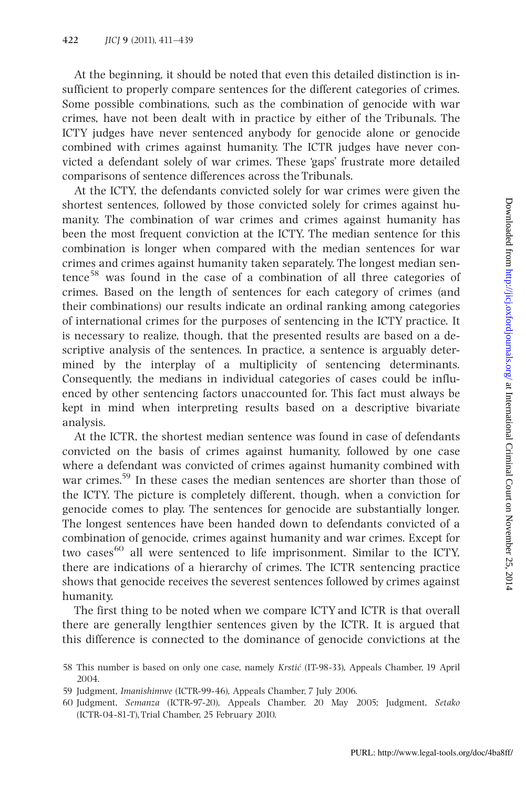At the beginning, it should be noted that even this detailed distinction is insufficient to properly compare sentences for the different categories of crimes. Some possible combinations, such as the combination of genocide with war crimes, have not been dealt with in practice by either of the Tribunals. The ICTY judges have never sentenced anybody for genocide alone or genocide combined with crimes against humanity. The ICTR judges have never convicted a defendant solely of war crimes. These 'gaps' frustrate more detailed comparisons of sentence differences across the Tribunals.

At the ICTY, the defendants convicted solely for war crimes were given the shortest sentences, followed by those convicted solely for crimes against humanity. The combination of war crimes and crimes against humanity has been the most frequent conviction at the ICTY. The median sentence for this combination is longer when compared with the median sentences for war crimes and crimes against humanity taken separately. The longest median sentence<sup>58</sup> was found in the case of a combination of all three categories of crimes. Based on the length of sentences for each category of crimes (and their combinations) our results indicate an ordinal ranking among categories of international crimes for the purposes of sentencing in the ICTY practice. It is necessary to realize, though, that the presented results are based on a descriptive analysis of the sentences. In practice, a sentence is arguably determined by the interplay of a multiplicity of sentencing determinants. Consequently, the medians in individual categories of cases could be influenced by other sentencing factors unaccounted for. This fact must always be kept in mind when interpreting results based on a descriptive bivariate analysis.

At the ICTR, the shortest median sentence was found in case of defendants convicted on the basis of crimes against humanity, followed by one case where a defendant was convicted of crimes against humanity combined with war crimes.<sup>59</sup> In these cases the median sentences are shorter than those of the ICTY. The picture is completely different, though, when a conviction for genocide comes to play. The sentences for genocide are substantially longer. The longest sentences have been handed down to defendants convicted of a combination of genocide, crimes against humanity and war crimes. Except for two cases<sup>60</sup> all were sentenced to life imprisonment. Similar to the ICTY, there are indications of a hierarchy of crimes. The ICTR sentencing practice shows that genocide receives the severest sentences followed by crimes against humanity.

The first thing to be noted when we compare ICTY and ICTR is that overall there are generally lengthier sentences given by the ICTR. It is argued that this difference is connected to the dominance of genocide convictions at the

59 Judgment, Imanishimwe (ICTR-99-46), Appeals Chamber, 7 July 2006.

<sup>58</sup> This number is based on only one case, namely Krstić (IT-98-33), Appeals Chamber, 19 April 2004.

<sup>60</sup> Judgment, Semanza (ICTR-97-20), Appeals Chamber, 20 May 2005; Judgment, Setako (ICTR-04-81-T), Trial Chamber, 25 February 2010.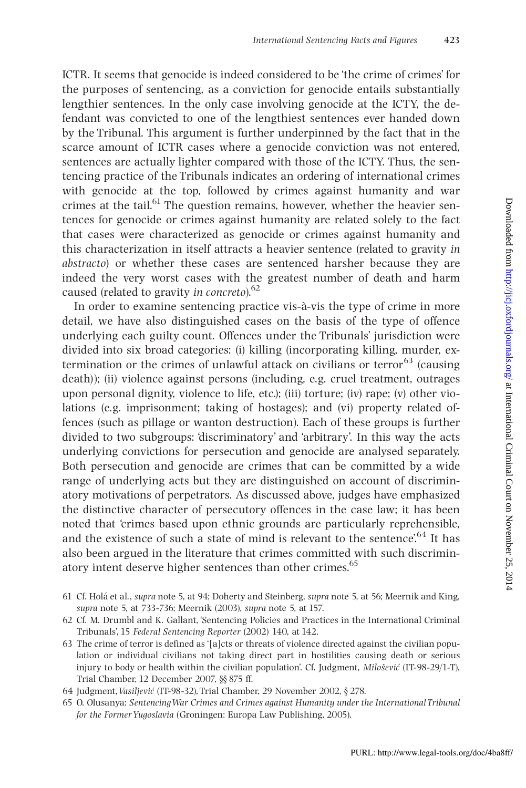ICTR. It seems that genocide is indeed considered to be 'the crime of crimes' for the purposes of sentencing, as a conviction for genocide entails substantially lengthier sentences. In the only case involving genocide at the ICTY, the defendant was convicted to one of the lengthiest sentences ever handed down by the Tribunal. This argument is further underpinned by the fact that in the scarce amount of ICTR cases where a genocide conviction was not entered, sentences are actually lighter compared with those of the ICTY. Thus, the sentencing practice of the Tribunals indicates an ordering of international crimes with genocide at the top, followed by crimes against humanity and war crimes at the tail.<sup>61</sup> The question remains, however, whether the heavier sentences for genocide or crimes against humanity are related solely to the fact that cases were characterized as genocide or crimes against humanity and this characterization in itself attracts a heavier sentence (related to gravity in abstracto) or whether these cases are sentenced harsher because they are indeed the very worst cases with the greatest number of death and harm caused (related to gravity in concreto).<sup>62</sup>

In order to examine sentencing practice vis-à-vis the type of crime in more detail, we have also distinguished cases on the basis of the type of offence underlying each guilty count. Offences under the Tribunals' jurisdiction were divided into six broad categories: (i) killing (incorporating killing, murder, extermination or the crimes of unlawful attack on civilians or terror<sup>63</sup> (causing death)); (ii) violence against persons (including, e.g. cruel treatment, outrages upon personal dignity, violence to life, etc.); (iii) torture; (iv) rape; (v) other violations (e.g. imprisonment; taking of hostages); and (vi) property related offences (such as pillage or wanton destruction). Each of these groups is further divided to two subgroups: 'discriminatory' and 'arbitrary'. In this way the acts underlying convictions for persecution and genocide are analysed separately. Both persecution and genocide are crimes that can be committed by a wide range of underlying acts but they are distinguished on account of discriminatory motivations of perpetrators. As discussed above, judges have emphasized the distinctive character of persecutory offences in the case law; it has been noted that 'crimes based upon ethnic grounds are particularly reprehensible, and the existence of such a state of mind is relevant to the sentence'.<sup>64</sup> It has also been argued in the literature that crimes committed with such discriminatory intent deserve higher sentences than other crimes.<sup>65</sup>

61 Cf. Hola¤ et al., supra note 5, at 94; Doherty and Steinberg, supra note 5, at 56; Meernik and King, supra note 5, at 733-736; Meernik (2003), supra note 5, at 157.

- 63 The crime of terror is defined as '[a]cts or threats of violence directed against the civilian population or individual civilians not taking direct part in hostilities causing death or serious injury to body or health within the civilian population'. Cf. Judgment,  $Milošević$  (IT-98-29/1-T), Trial Chamber, 12 December 2007, §§ 875 ff.
- 64 Judgment, Vasiljević (IT-98-32), Trial Chamber, 29 November 2002, § 278.
- 65 O. Olusanya: SentencingWar Crimes and Crimes against Humanity under the International Tribunal for the Former Yugoslavia (Groningen: Europa Law Publishing, 2005).

<sup>62</sup> Cf. M. Drumbl and K. Gallant, 'Sentencing Policies and Practices in the International Criminal Tribunals', 15 Federal Sentencing Reporter (2002) 140, at 142.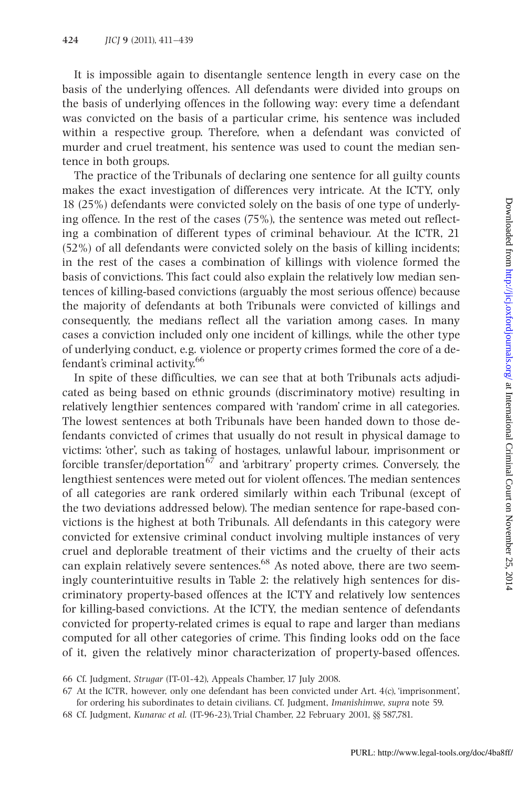It is impossible again to disentangle sentence length in every case on the basis of the underlying offences. All defendants were divided into groups on the basis of underlying offences in the following way: every time a defendant was convicted on the basis of a particular crime, his sentence was included within a respective group. Therefore, when a defendant was convicted of murder and cruel treatment, his sentence was used to count the median sentence in both groups.

The practice of the Tribunals of declaring one sentence for all guilty counts makes the exact investigation of differences very intricate. At the ICTY, only 18 (25%) defendants were convicted solely on the basis of one type of underlying offence. In the rest of the cases (75%), the sentence was meted out reflecting a combination of different types of criminal behaviour. At the ICTR, 21 (52%) of all defendants were convicted solely on the basis of killing incidents; in the rest of the cases a combination of killings with violence formed the basis of convictions. This fact could also explain the relatively low median sentences of killing-based convictions (arguably the most serious offence) because the majority of defendants at both Tribunals were convicted of killings and consequently, the medians reflect all the variation among cases. In many cases a conviction included only one incident of killings, while the other type of underlying conduct, e.g. violence or property crimes formed the core of a defendant's criminal activity.<sup>66</sup>

In spite of these difficulties, we can see that at both Tribunals acts adjudicated as being based on ethnic grounds (discriminatory motive) resulting in relatively lengthier sentences compared with 'random' crime in all categories. The lowest sentences at both Tribunals have been handed down to those defendants convicted of crimes that usually do not result in physical damage to victims: 'other', such as taking of hostages, unlawful labour, imprisonment or forcible transfer/deportation<sup>67</sup> and 'arbitrary' property crimes. Conversely, the lengthiest sentences were meted out for violent offences. The median sentences of all categories are rank ordered similarly within each Tribunal (except of the two deviations addressed below). The median sentence for rape-based convictions is the highest at both Tribunals. All defendants in this category were convicted for extensive criminal conduct involving multiple instances of very cruel and deplorable treatment of their victims and the cruelty of their acts can explain relatively severe sentences.<sup>68</sup> As noted above, there are two seemingly counterintuitive results in Table 2: the relatively high sentences for discriminatory property-based offences at the ICTY and relatively low sentences for killing-based convictions. At the ICTY, the median sentence of defendants convicted for property-related crimes is equal to rape and larger than medians computed for all other categories of crime. This finding looks odd on the face of it, given the relatively minor characterization of property-based offences.

<sup>66</sup> Cf. Judgment, Strugar (IT-01-42), Appeals Chamber, 17 July 2008.

<sup>67</sup> At the ICTR, however, only one defendant has been convicted under Art. 4(c), 'imprisonment', for ordering his subordinates to detain civilians. Cf. Judgment, Imanishimwe, supra note 59.

<sup>68</sup> Cf. Judgment, Kunarac et al. (IT-96-23), Trial Chamber, 22 February 2001, §§ 587,781.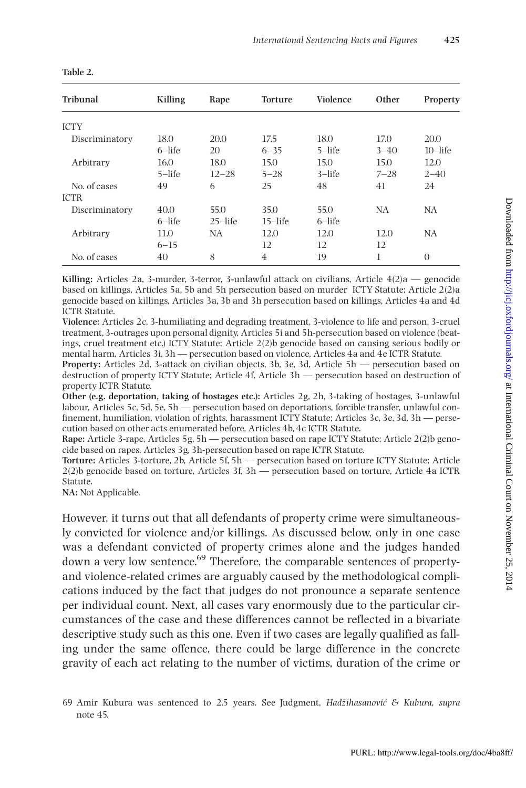| Tribunal                    | Killing           | Rape               | <b>Torture</b>     | Violence          | <b>Other</b>     | Property           |
|-----------------------------|-------------------|--------------------|--------------------|-------------------|------------------|--------------------|
| <b>ICTY</b>                 |                   |                    |                    |                   |                  |                    |
| Discriminatory              | 18.0<br>6-life    | 20.0<br>20         | 17.5<br>$6 - 35$   | 18.0<br>5-life    | 17.0<br>$3 - 40$ | 20.0<br>$10$ -life |
| Arbitrary                   | 16.0<br>$5$ -life | 18.0<br>$12 - 28$  | 15.0<br>$5 - 28$   | 15.0<br>$3$ -life | 15.0<br>$7 - 28$ | 12.0<br>$2 - 40$   |
| No. of cases<br><b>ICTR</b> | 49                | 6                  | 25                 | 48                | 41               | 24                 |
| Discriminatory              | 40.0<br>6-life    | 55.0<br>$25$ –life | 35.0<br>$15$ -life | 55.0<br>6-life    | NA               | NA                 |
| Arbitrary                   | 11.0<br>$6 - 15$  | <b>NA</b>          | 12.0<br>12         | 12.0<br>12        | 12.0<br>12       | <b>NA</b>          |
| No. of cases                | 40                | 8                  | $\overline{4}$     | 19                | 1                | $\theta$           |

Table 2.

Killing: Articles 2a, 3-murder, 3-terror, 3-unlawful attack on civilians, Article  $4(2)a$  — genocide based on killings, Articles 5a, 5b and 5h persecution based on murder ICTY Statute; Article 2(2)a genocide based on killings, Articles 3a, 3b and 3h persecution based on killings, Articles 4a and 4d ICTR Statute.

Violence: Articles 2c, 3-humiliating and degrading treatment, 3-violence to life and person, 3-cruel treatment,3-outrages upon personal dignity, Articles 5i and 5h-persecution based on violence (beatings, cruel treatment etc.) ICTY Statute; Article 2(2)b genocide based on causing serious bodily or mental harm, Articles 3i, 3h – persecution based on violence, Articles 4a and 4e ICTR Statute.

**Property:** Articles 2d, 3-attack on civilian objects, 3b, 3e, 3d, Article  $5h$  — persecution based on destruction of property ICTY Statute; Article 4f, Article 3h — persecution based on destruction of property ICTR Statute.

Other (e.g. deportation, taking of hostages etc.): Articles 2g, 2h, 3-taking of hostages, 3-unlawful labour, Articles 5c, 5d, 5e, 5h — persecution based on deportations, forcible transfer, unlawful confinement, humiliation, violation of rights, harassment ICTY Statute; Articles 3c, 3e, 3d, 3h  $-$  persecution based on other acts enumerated before, Articles 4b, 4c ICTR Statute.

Rape: Article 3-rape, Articles 5g,  $5h$  — persecution based on rape ICTY Statute; Article 2(2)b genocide based on rapes, Articles 3g, 3h-persecution based on rape ICTR Statute.

Torture: Articles 3-torture, 2b, Article 5f, 5h — persecution based on torture ICTY Statute; Article  $2(2)$ b genocide based on torture, Articles 3f, 3h — persecution based on torture, Article 4a ICTR Statute.

NA: Not Applicable.

However, it turns out that all defendants of property crime were simultaneously convicted for violence and/or killings. As discussed below, only in one case was a defendant convicted of property crimes alone and the judges handed down a very low sentence.<sup>69</sup> Therefore, the comparable sentences of propertyand violence-related crimes are arguably caused by the methodological complications induced by the fact that judges do not pronounce a separate sentence per individual count. Next, all cases vary enormously due to the particular circumstances of the case and these differences cannot be reflected in a bivariate descriptive study such as this one. Even if two cases are legally qualified as falling under the same offence, there could be large difference in the concrete gravity of each act relating to the number of victims, duration of the crime or

<sup>69</sup> Amir Kubura was sentenced to 2.5 years. See Judgment, Hadžihasanović & Kubura, supra note 45.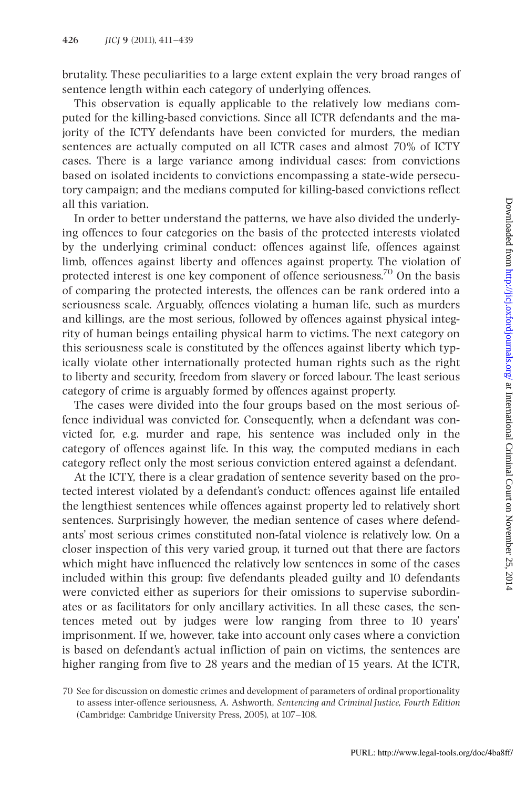brutality. These peculiarities to a large extent explain the very broad ranges of sentence length within each category of underlying offences.

This observation is equally applicable to the relatively low medians computed for the killing-based convictions. Since all ICTR defendants and the majority of the ICTY defendants have been convicted for murders, the median sentences are actually computed on all ICTR cases and almost 70% of ICTY cases. There is a large variance among individual cases: from convictions based on isolated incidents to convictions encompassing a state-wide persecutory campaign; and the medians computed for killing-based convictions reflect all this variation.

In order to better understand the patterns, we have also divided the underlying offences to four categories on the basis of the protected interests violated by the underlying criminal conduct: offences against life, offences against limb, offences against liberty and offences against property. The violation of protected interest is one key component of offence seriousness.70 On the basis of comparing the protected interests, the offences can be rank ordered into a seriousness scale. Arguably, offences violating a human life, such as murders and killings, are the most serious, followed by offences against physical integrity of human beings entailing physical harm to victims. The next category on this seriousness scale is constituted by the offences against liberty which typically violate other internationally protected human rights such as the right to liberty and security, freedom from slavery or forced labour. The least serious category of crime is arguably formed by offences against property.

The cases were divided into the four groups based on the most serious offence individual was convicted for. Consequently, when a defendant was convicted for, e.g. murder and rape, his sentence was included only in the category of offences against life. In this way, the computed medians in each category reflect only the most serious conviction entered against a defendant.

At the ICTY, there is a clear gradation of sentence severity based on the protected interest violated by a defendant's conduct: offences against life entailed the lengthiest sentences while offences against property led to relatively short sentences. Surprisingly however, the median sentence of cases where defendants' most serious crimes constituted non-fatal violence is relatively low. On a closer inspection of this very varied group, it turned out that there are factors which might have influenced the relatively low sentences in some of the cases included within this group: five defendants pleaded guilty and 10 defendants were convicted either as superiors for their omissions to supervise subordinates or as facilitators for only ancillary activities. In all these cases, the sentences meted out by judges were low ranging from three to 10 years' imprisonment. If we, however, take into account only cases where a conviction is based on defendant's actual infliction of pain on victims, the sentences are higher ranging from five to 28 years and the median of 15 years. At the ICTR,

<sup>70</sup> See for discussion on domestic crimes and development of parameters of ordinal proportionality to assess inter-offence seriousness, A. Ashworth, Sentencing and Criminal Justice, Fourth Edition (Cambridge: Cambridge University Press, 2005), at 107^108.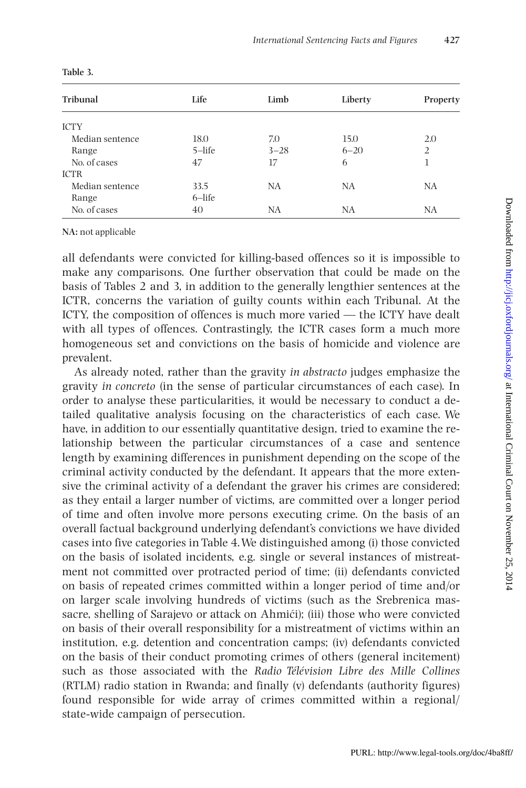| Tribunal        | Life   | Limb     | Liberty  | Property       |
|-----------------|--------|----------|----------|----------------|
| ICTY            |        |          |          |                |
| Median sentence | 18.0   | 7.0      | 15.0     | 2.0            |
| Range           | 5-life | $3 - 28$ | $6 - 20$ | $\overline{2}$ |
| No. of cases    | 47     | 17       | 6        |                |
| ICTR            |        |          |          |                |
| Median sentence | 33.5   | NA       | NA       | NA             |
| Range           | 6-life |          |          |                |
| No. of cases    | 40     | NA       | NA       | NA             |

#### Table 3.

NA: not applicable

all defendants were convicted for killing-based offences so it is impossible to make any comparisons. One further observation that could be made on the basis of Tables 2 and 3, in addition to the generally lengthier sentences at the ICTR, concerns the variation of guilty counts within each Tribunal. At the ICTY, the composition of offences is much more varied  $-$  the ICTY have dealt with all types of offences. Contrastingly, the ICTR cases form a much more homogeneous set and convictions on the basis of homicide and violence are prevalent.

As already noted, rather than the gravity in abstracto judges emphasize the gravity in concreto (in the sense of particular circumstances of each case). In order to analyse these particularities, it would be necessary to conduct a detailed qualitative analysis focusing on the characteristics of each case. We have, in addition to our essentially quantitative design, tried to examine the relationship between the particular circumstances of a case and sentence length by examining differences in punishment depending on the scope of the criminal activity conducted by the defendant. It appears that the more extensive the criminal activity of a defendant the graver his crimes are considered; as they entail a larger number of victims, are committed over a longer period of time and often involve more persons executing crime. On the basis of an overall factual background underlying defendant's convictions we have divided cases into five categories in Table 4.We distinguished among (i) those convicted on the basis of isolated incidents, e.g. single or several instances of mistreatment not committed over protracted period of time; (ii) defendants convicted on basis of repeated crimes committed within a longer period of time and/or on larger scale involving hundreds of victims (such as the Srebrenica massacre, shelling of Sarajevo or attack on Ahmici); (iii) those who were convicted on basis of their overall responsibility for a mistreatment of victims within an institution, e.g. detention and concentration camps; (iv) defendants convicted on the basis of their conduct promoting crimes of others (general incitement) such as those associated with the Radio Télévision Libre des Mille Collines (RTLM) radio station in Rwanda; and finally (v) defendants (authority figures) found responsible for wide array of crimes committed within a regional/ state-wide campaign of persecution.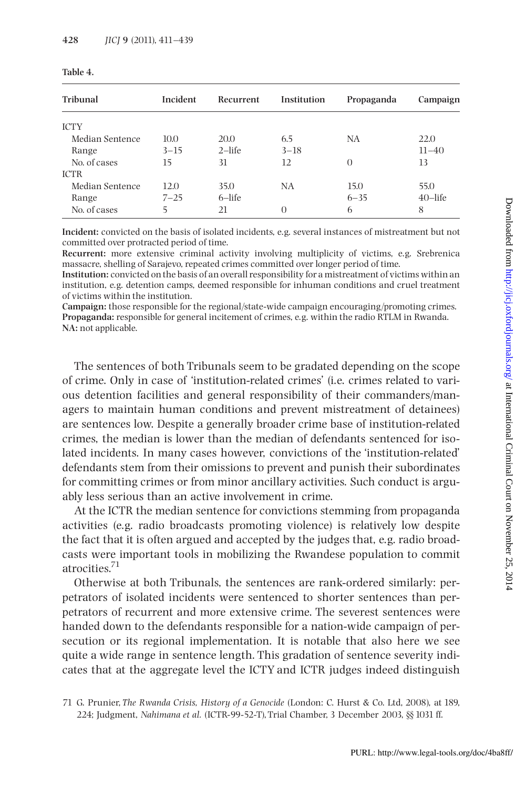| Tribunal                 | Incident         | Recurrent         | Institution     | Propaganda       | Campaign           |
|--------------------------|------------------|-------------------|-----------------|------------------|--------------------|
| <b>ICTY</b>              |                  |                   |                 |                  |                    |
| Median Sentence<br>Range | 10.0<br>$3 - 15$ | 20.0<br>$2$ -life | 6.5<br>$3 - 18$ | NA               | 22.0<br>$11 - 40$  |
| No. of cases             | 15               | 31                | 12              | $\Omega$         | 13                 |
| <b>ICTR</b>              |                  |                   |                 |                  |                    |
| Median Sentence          | 12.0<br>$7 - 25$ | 35.0<br>6-life    | NA              | 15.0<br>$6 - 35$ | 55.0<br>$40$ –life |
| Range<br>No. of cases    | 5                | 21                | $\Omega$        | 6                | 8                  |

#### Table 4.

Incident: convicted on the basis of isolated incidents, e.g. several instances of mistreatment but not committed over protracted period of time.

Recurrent: more extensive criminal activity involving multiplicity of victims, e.g. Srebrenica massacre, shelling of Sarajevo, repeated crimes committed over longer period of time.

Institution: convicted on the basis of an overall responsibility for a mistreatment of victims within an institution, e.g. detention camps, deemed responsible for inhuman conditions and cruel treatment of victims within the institution.

Campaign: those responsible for the regional/state-wide campaign encouraging/promoting crimes. Propaganda: responsible for general incitement of crimes, e.g. within the radio RTLM in Rwanda. NA: not applicable.

The sentences of both Tribunals seem to be gradated depending on the scope of crime. Only in case of 'institution-related crimes' (i.e. crimes related to various detention facilities and general responsibility of their commanders/managers to maintain human conditions and prevent mistreatment of detainees) are sentences low. Despite a generally broader crime base of institution-related crimes, the median is lower than the median of defendants sentenced for isolated incidents. In many cases however, convictions of the 'institution-related' defendants stem from their omissions to prevent and punish their subordinates for committing crimes or from minor ancillary activities. Such conduct is arguably less serious than an active involvement in crime.

At the ICTR the median sentence for convictions stemming from propaganda activities (e.g. radio broadcasts promoting violence) is relatively low despite the fact that it is often argued and accepted by the judges that, e.g. radio broadcasts were important tools in mobilizing the Rwandese population to commit atrocities.71

Otherwise at both Tribunals, the sentences are rank-ordered similarly: perpetrators of isolated incidents were sentenced to shorter sentences than perpetrators of recurrent and more extensive crime. The severest sentences were handed down to the defendants responsible for a nation-wide campaign of persecution or its regional implementation. It is notable that also here we see quite a wide range in sentence length. This gradation of sentence severity indicates that at the aggregate level the ICTY and ICTR judges indeed distinguish

71 G. Prunier, The Rwanda Crisis, History of a Genocide (London: C. Hurst & Co. Ltd, 2008), at 189, 224; Judgment, Nahimana et al. (ICTR-99-52-T), Trial Chamber, 3 December 2003, §§ 1031 ff.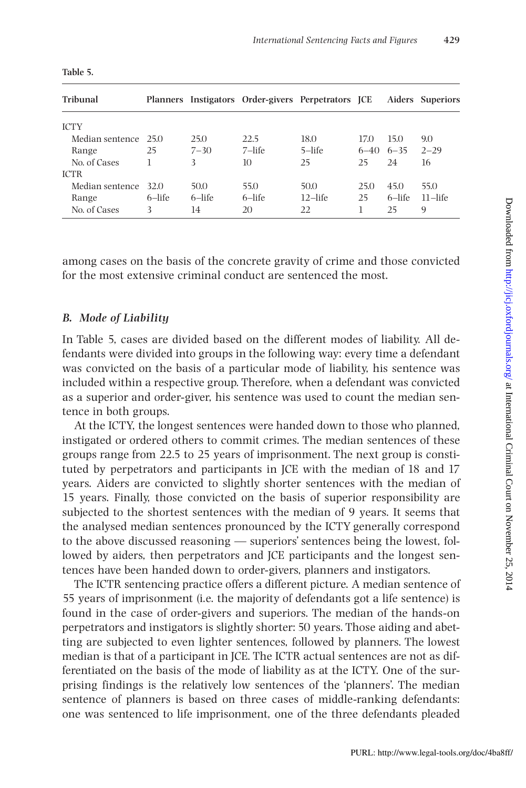| Tribunal             |        |          | Planners Instigators Order-givers Perpetrators JCE |            |               |        | Aiders Superiors |
|----------------------|--------|----------|----------------------------------------------------|------------|---------------|--------|------------------|
| <b>ICTY</b>          |        |          |                                                    |            |               |        |                  |
| Median sentence 25.0 |        | 25.0     | 22.5                                               | 18.0       | 17.0          | 15.0   | 9.0              |
| Range                | 25     | $7 - 30$ | 7-life                                             | $5$ -life  | $6-40$ $6-35$ |        | $2 - 29$         |
| No. of Cases         |        | 3        | 10                                                 | 25         | 25            | 24     | 16               |
| <b>ICTR</b>          |        |          |                                                    |            |               |        |                  |
| Median sentence      | 32.O   | 50.0     | 55.0                                               | 50.0       | 25.0          | 45.0   | 55.0             |
| Range                | 6-life | 6-life   | 6-life                                             | $12$ –life | 25            | 6-life | $11$ -life       |
| No. of Cases         | 3      | 14       | 20                                                 | 22         |               | 25     | 9                |

Table 5.

among cases on the basis of the concrete gravity of crime and those convicted for the most extensive criminal conduct are sentenced the most.

### B. Mode of Liability

In Table 5, cases are divided based on the different modes of liability. All defendants were divided into groups in the following way: every time a defendant was convicted on the basis of a particular mode of liability, his sentence was included within a respective group. Therefore, when a defendant was convicted as a superior and order-giver, his sentence was used to count the median sentence in both groups.

At the ICTY, the longest sentences were handed down to those who planned, instigated or ordered others to commit crimes. The median sentences of these groups range from 22.5 to 25 years of imprisonment. The next group is constituted by perpetrators and participants in JCE with the median of 18 and 17 years. Aiders are convicted to slightly shorter sentences with the median of 15 years. Finally, those convicted on the basis of superior responsibility are subjected to the shortest sentences with the median of 9 years. It seems that the analysed median sentences pronounced by the ICTY generally correspond to the above discussed reasoning - superiors' sentences being the lowest, followed by aiders, then perpetrators and JCE participants and the longest sentences have been handed down to order-givers, planners and instigators.

The ICTR sentencing practice offers a different picture. A median sentence of 55 years of imprisonment (i.e. the majority of defendants got a life sentence) is found in the case of order-givers and superiors. The median of the hands-on perpetrators and instigators is slightly shorter: 50 years. Those aiding and abetting are subjected to even lighter sentences, followed by planners. The lowest median is that of a participant in JCE. The ICTR actual sentences are not as differentiated on the basis of the mode of liability as at the ICTY. One of the surprising findings is the relatively low sentences of the 'planners'. The median sentence of planners is based on three cases of middle-ranking defendants: one was sentenced to life imprisonment, one of the three defendants pleaded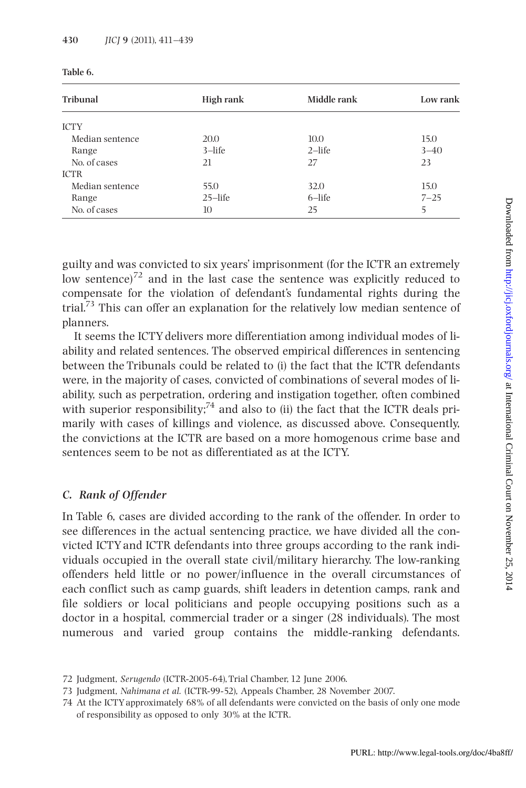| Tribunal        | High rank  | Middle rank | Low rank |
|-----------------|------------|-------------|----------|
| <b>ICTY</b>     |            |             |          |
| Median sentence | 20.0       | 10.0        | 15.0     |
| Range           | $3$ -life  | $2$ -life   | $3 - 40$ |
| No. of cases    | 21         | 27          | 23       |
| ICTR            |            |             |          |
| Median sentence | 55.0       | 32.0        | 15.0     |
| Range           | $25$ -life | 6-life      | $7 - 25$ |
| No. of cases    | 10         | 25          | 5        |

Table 6.

guilty and was convicted to six years' imprisonment (for the ICTR an extremely low sentence)<sup>72</sup> and in the last case the sentence was explicitly reduced to compensate for the violation of defendant's fundamental rights during the trial.<sup>73</sup> This can offer an explanation for the relatively low median sentence of planners.

It seems the ICTY delivers more differentiation among individual modes of liability and related sentences. The observed empirical differences in sentencing between the Tribunals could be related to (i) the fact that the ICTR defendants were, in the majority of cases, convicted of combinations of several modes of liability, such as perpetration, ordering and instigation together, often combined with superior responsibility; $^{74}$  and also to (ii) the fact that the ICTR deals primarily with cases of killings and violence, as discussed above. Consequently, the convictions at the ICTR are based on a more homogenous crime base and sentences seem to be not as differentiated as at the ICTY.

### C. Rank of Offender

In Table 6, cases are divided according to the rank of the offender. In order to see differences in the actual sentencing practice, we have divided all the convicted ICTY and ICTR defendants into three groups according to the rank individuals occupied in the overall state civil/military hierarchy. The low-ranking offenders held little or no power/influence in the overall circumstances of each conflict such as camp guards, shift leaders in detention camps, rank and file soldiers or local politicians and people occupying positions such as a doctor in a hospital, commercial trader or a singer (28 individuals). The most numerous and varied group contains the middle-ranking defendants.

<sup>72</sup> Judgment, Serugendo (ICTR-2005-64), Trial Chamber, 12 June 2006.

<sup>73</sup> Judgment, Nahimana et al. (ICTR-99-52), Appeals Chamber, 28 November 2007.

<sup>74</sup> At the ICTY approximately 68% of all defendants were convicted on the basis of only one mode of responsibility as opposed to only 30% at the ICTR.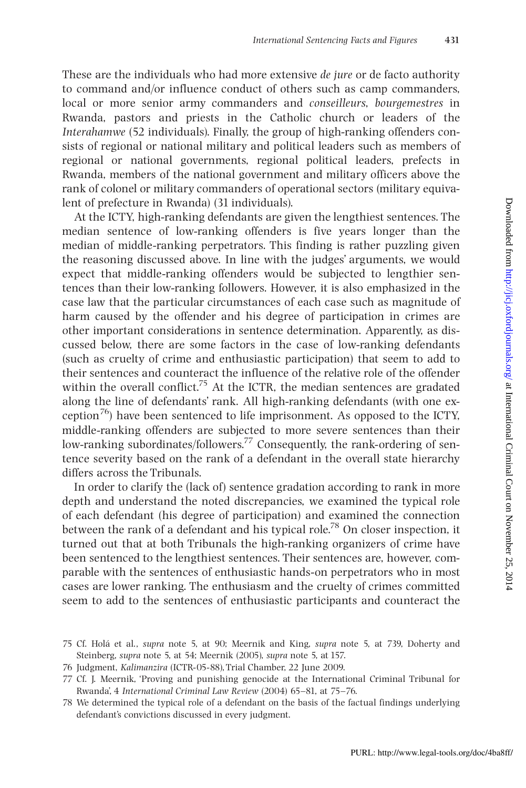These are the individuals who had more extensive de jure or de facto authority to command and/or influence conduct of others such as camp commanders, local or more senior army commanders and conseilleurs, bourgemestres in Rwanda, pastors and priests in the Catholic church or leaders of the Interahamwe (52 individuals). Finally, the group of high-ranking offenders consists of regional or national military and political leaders such as members of regional or national governments, regional political leaders, prefects in Rwanda, members of the national government and military officers above the rank of colonel or military commanders of operational sectors (military equivalent of prefecture in Rwanda) (31 individuals).

At the ICTY, high-ranking defendants are given the lengthiest sentences. The median sentence of low-ranking offenders is five years longer than the median of middle-ranking perpetrators. This finding is rather puzzling given the reasoning discussed above. In line with the judges' arguments, we would expect that middle-ranking offenders would be subjected to lengthier sentences than their low-ranking followers. However, it is also emphasized in the case law that the particular circumstances of each case such as magnitude of harm caused by the offender and his degree of participation in crimes are other important considerations in sentence determination. Apparently, as discussed below, there are some factors in the case of low-ranking defendants (such as cruelty of crime and enthusiastic participation) that seem to add to their sentences and counteract the influence of the relative role of the offender within the overall conflict.<sup>75</sup> At the ICTR, the median sentences are gradated along the line of defendants' rank. All high-ranking defendants (with one exception<sup>76</sup>) have been sentenced to life imprisonment. As opposed to the ICTY, middle-ranking offenders are subjected to more severe sentences than their low-ranking subordinates/followers.<sup>77</sup> Consequently, the rank-ordering of sentence severity based on the rank of a defendant in the overall state hierarchy differs across the Tribunals.

In order to clarify the (lack of) sentence gradation according to rank in more depth and understand the noted discrepancies, we examined the typical role of each defendant (his degree of participation) and examined the connection between the rank of a defendant and his typical role.<sup>78</sup> On closer inspection, it turned out that at both Tribunals the high-ranking organizers of crime have been sentenced to the lengthiest sentences. Their sentences are, however, comparable with the sentences of enthusiastic hands-on perpetrators who in most cases are lower ranking. The enthusiasm and the cruelty of crimes committed seem to add to the sentences of enthusiastic participants and counteract the

76 Judgment, Kalimanzira (ICTR-05-88), Trial Chamber, 22 June 2009.

<sup>75</sup> Cf. Holá et al., *supra* note 5, at 90; Meernik and King, *supra* note 5, at 739, Doherty and Steinberg, supra note 5, at 54; Meernik (2005), supra note 5, at 157.

<sup>77</sup> Cf. J. Meernik, 'Proving and punishing genocide at the International Criminal Tribunal for Rwanda', 4 International Criminal Law Review (2004) 65-81, at 75-76.

<sup>78</sup> We determined the typical role of a defendant on the basis of the factual findings underlying defendant's convictions discussed in every judgment.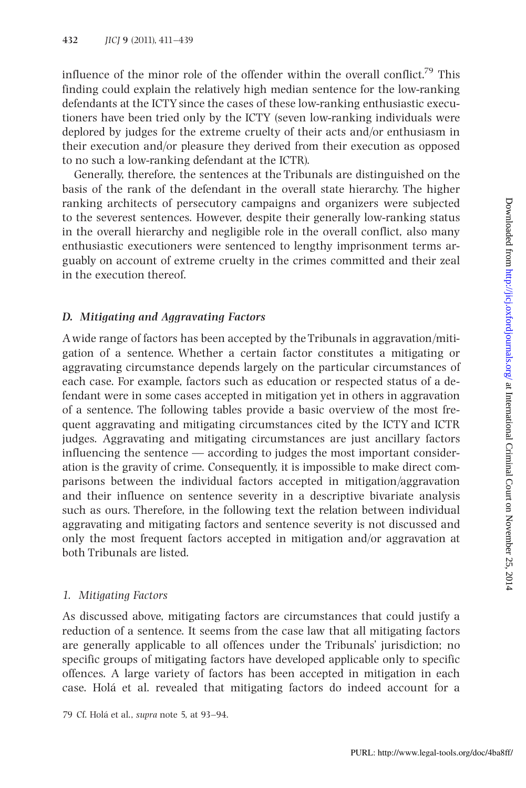influence of the minor role of the offender within the overall conflict.<sup>79</sup> This finding could explain the relatively high median sentence for the low-ranking defendants at the ICTY since the cases of these low-ranking enthusiastic executioners have been tried only by the ICTY (seven low-ranking individuals were deplored by judges for the extreme cruelty of their acts and/or enthusiasm in their execution and/or pleasure they derived from their execution as opposed to no such a low-ranking defendant at the ICTR).

Generally, therefore, the sentences at the Tribunals are distinguished on the basis of the rank of the defendant in the overall state hierarchy. The higher ranking architects of persecutory campaigns and organizers were subjected to the severest sentences. However, despite their generally low-ranking status in the overall hierarchy and negligible role in the overall conflict, also many enthusiastic executioners were sentenced to lengthy imprisonment terms arguably on account of extreme cruelty in the crimes committed and their zeal in the execution thereof.

### D. Mitigating and Aggravating Factors

A wide range of factors has been accepted by the Tribunals in aggravation/mitigation of a sentence. Whether a certain factor constitutes a mitigating or aggravating circumstance depends largely on the particular circumstances of each case. For example, factors such as education or respected status of a defendant were in some cases accepted in mitigation yet in others in aggravation of a sentence. The following tables provide a basic overview of the most frequent aggravating and mitigating circumstances cited by the ICTY and ICTR judges. Aggravating and mitigating circumstances are just ancillary factors influencing the sentence  $\frac{d}{dx}$  according to judges the most important consideration is the gravity of crime. Consequently, it is impossible to make direct comparisons between the individual factors accepted in mitigation/aggravation and their influence on sentence severity in a descriptive bivariate analysis such as ours. Therefore, in the following text the relation between individual aggravating and mitigating factors and sentence severity is not discussed and only the most frequent factors accepted in mitigation and/or aggravation at both Tribunals are listed.

### 1. Mitigating Factors

As discussed above, mitigating factors are circumstances that could justify a reduction of a sentence. It seems from the case law that all mitigating factors are generally applicable to all offences under the Tribunals' jurisdiction; no specific groups of mitigating factors have developed applicable only to specific offences. A large variety of factors has been accepted in mitigation in each case. Holá et al. revealed that mitigating factors do indeed account for a

<sup>79</sup> Cf. Holá et al., *supra* note 5, at 93-94.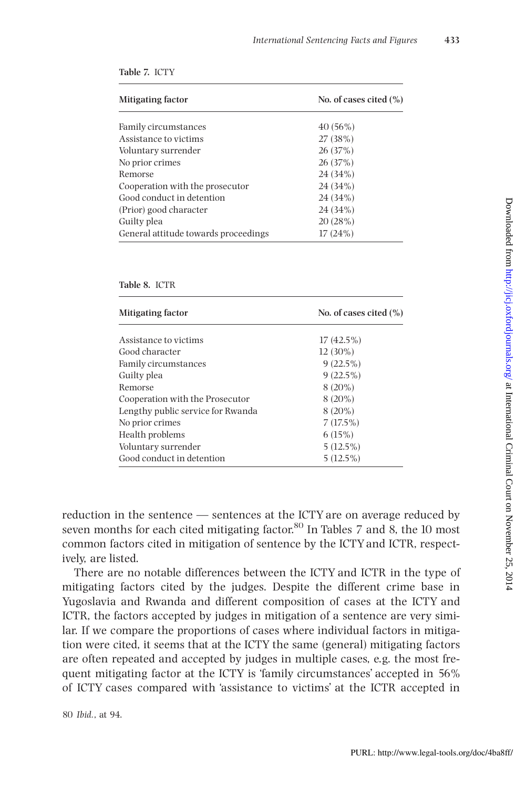| <b>Mitigating factor</b>             | No. of cases cited $(\% )$ |
|--------------------------------------|----------------------------|
| Family circumstances                 | $40(56\%)$                 |
| Assistance to victims                | 27 (38%)                   |
| Voluntary surrender                  | 26 (37%)                   |
| No prior crimes                      | 26 (37%)                   |
| Remorse                              | 24 (34%)                   |
| Cooperation with the prosecutor      | 24 (34%)                   |
| Good conduct in detention            | 24 (34%)                   |
| (Prior) good character               | 24 (34%)                   |
| Guilty plea                          | 20(28%)                    |
| General attitude towards proceedings | 17(24%)                    |

#### Table 7. ICTY

| Table 8. ICTR |  |  |
|---------------|--|--|
|---------------|--|--|

| <b>Mitigating factor</b>          | No. of cases cited $(\% )$ |  |  |
|-----------------------------------|----------------------------|--|--|
| Assistance to victims             | $17(42.5\%)$               |  |  |
| Good character                    | $12(30\%)$                 |  |  |
| Family circumstances              | $9(22.5\%)$                |  |  |
| Guilty plea                       | $9(22.5\%)$                |  |  |
| Remorse                           | $8(20\%)$                  |  |  |
| Cooperation with the Prosecutor   | $8(20\%)$                  |  |  |
| Lengthy public service for Rwanda | $8(20\%)$                  |  |  |
| No prior crimes                   | $7(17.5\%)$                |  |  |
| Health problems                   | 6(15%)                     |  |  |
| Voluntary surrender               | $5(12.5\%)$                |  |  |
| Good conduct in detention         | $5(12.5\%)$                |  |  |

reduction in the sentence — sentences at the ICTY are on average reduced by seven months for each cited mitigating factor.<sup>80</sup> In Tables 7 and 8, the 10 most common factors cited in mitigation of sentence by the ICTY and ICTR, respectively, are listed.

There are no notable differences between the ICTY and ICTR in the type of mitigating factors cited by the judges. Despite the different crime base in Yugoslavia and Rwanda and different composition of cases at the ICTY and ICTR, the factors accepted by judges in mitigation of a sentence are very similar. If we compare the proportions of cases where individual factors in mitigation were cited, it seems that at the ICTY the same (general) mitigating factors are often repeated and accepted by judges in multiple cases, e.g. the most frequent mitigating factor at the ICTY is 'family circumstances' accepted in 56% of ICTY cases compared with 'assistance to victims' at the ICTR accepted in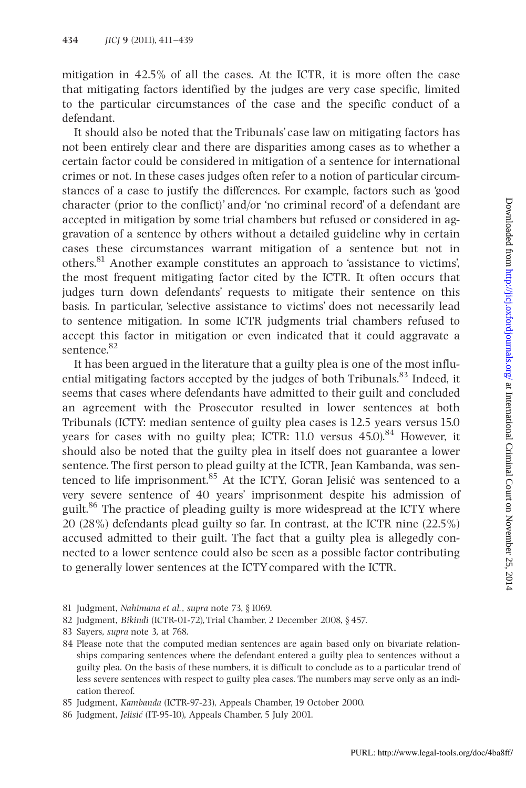mitigation in 42.5% of all the cases. At the ICTR, it is more often the case that mitigating factors identified by the judges are very case specific, limited to the particular circumstances of the case and the specific conduct of a defendant.

It should also be noted that the Tribunals'case law on mitigating factors has not been entirely clear and there are disparities among cases as to whether a certain factor could be considered in mitigation of a sentence for international crimes or not. In these cases judges often refer to a notion of particular circumstances of a case to justify the differences. For example, factors such as 'good character (prior to the conflict)' and/or 'no criminal record' of a defendant are accepted in mitigation by some trial chambers but refused or considered in aggravation of a sentence by others without a detailed guideline why in certain cases these circumstances warrant mitigation of a sentence but not in others.81 Another example constitutes an approach to 'assistance to victims', the most frequent mitigating factor cited by the ICTR. It often occurs that judges turn down defendants' requests to mitigate their sentence on this basis. In particular, 'selective assistance to victims' does not necessarily lead to sentence mitigation. In some ICTR judgments trial chambers refused to accept this factor in mitigation or even indicated that it could aggravate a sentence.<sup>82</sup>

It has been argued in the literature that a guilty plea is one of the most influential mitigating factors accepted by the judges of both Tribunals.<sup>83</sup> Indeed, it seems that cases where defendants have admitted to their guilt and concluded an agreement with the Prosecutor resulted in lower sentences at both Tribunals (ICTY: median sentence of guilty plea cases is 12.5 years versus 15.0 years for cases with no guilty plea; ICTR: 11.0 versus 45.0).<sup>84</sup> However, it should also be noted that the guilty plea in itself does not guarantee a lower sentence. The first person to plead guilty at the ICTR, Jean Kambanda, was sentenced to life imprisonment.<sup>85</sup> At the ICTY, Goran Jelisić was sentenced to a very severe sentence of 40 years' imprisonment despite his admission of guilt.<sup>86</sup> The practice of pleading guilty is more widespread at the ICTY where 20 (28%) defendants plead guilty so far. In contrast, at the ICTR nine (22.5%) accused admitted to their guilt. The fact that a guilty plea is allegedly connected to a lower sentence could also be seen as a possible factor contributing to generally lower sentences at the ICTY compared with the ICTR.

- 81 Judgment, Nahimana et al., supra note 73, § 1069.
- 82 Judgment, Bikindi (ICTR-01-72), Trial Chamber, 2 December 2008, § 457.
- 83 Sayers, supra note 3, at 768.
- 84 Please note that the computed median sentences are again based only on bivariate relationships comparing sentences where the defendant entered a guilty plea to sentences without a guilty plea. On the basis of these numbers, it is difficult to conclude as to a particular trend of less severe sentences with respect to guilty plea cases. The numbers may serve only as an indication thereof.
- 85 Judgment, Kambanda (ICTR-97-23), Appeals Chamber, 19 October 2000.
- 86 Judgment, *Jelisić* (IT-95-10), Appeals Chamber, 5 July 2001.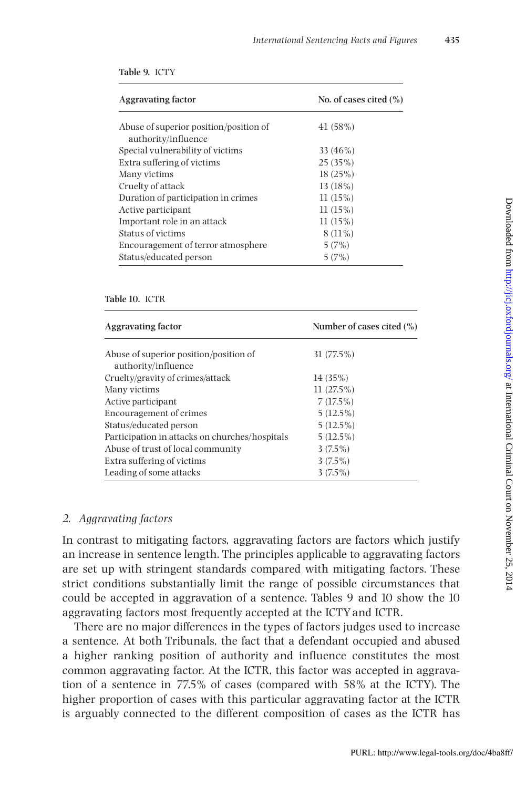| <b>Aggravating factor</b>                                     | No. of cases cited $(\% )$ |  |  |
|---------------------------------------------------------------|----------------------------|--|--|
| Abuse of superior position/position of<br>authority/influence | $41(58\%)$                 |  |  |
| Special vulnerability of victims                              | $33(46\%)$                 |  |  |
| Extra suffering of victims                                    | 25(35%)                    |  |  |
| Many victims                                                  | 18(25%)                    |  |  |
| Cruelty of attack                                             | 13(18%)                    |  |  |
| Duration of participation in crimes                           | 11(15%)                    |  |  |
| Active participant                                            | 11(15%)                    |  |  |
| Important role in an attack                                   | 11(15%)                    |  |  |
| Status of victims                                             | $8(11\%)$                  |  |  |
| Encouragement of terror atmosphere                            | 5(7%)                      |  |  |
| Status/educated person                                        | 5(7%)                      |  |  |

#### Table 9. ICTY

#### Table 10. ICTR

| <b>Aggravating factor</b>                                     | Number of cases cited $(\% )$ |
|---------------------------------------------------------------|-------------------------------|
| Abuse of superior position/position of<br>authority/influence | 31 (77.5%)                    |
| Cruelty/gravity of crimes/attack                              | $14(35\%)$                    |
| Many victims                                                  | $11(27.5\%)$                  |
| Active participant                                            | $7(17.5\%)$                   |
| Encouragement of crimes                                       | $5(12.5\%)$                   |
| Status/educated person                                        | $5(12.5\%)$                   |
| Participation in attacks on churches/hospitals                | $5(12.5\%)$                   |
| Abuse of trust of local community                             | $3(7.5\%)$                    |
| Extra suffering of victims                                    | $3(7.5\%)$                    |
| Leading of some attacks                                       | $3(7.5\%)$                    |

#### 2. Aggravating factors

In contrast to mitigating factors, aggravating factors are factors which justify an increase in sentence length. The principles applicable to aggravating factors are set up with stringent standards compared with mitigating factors. These strict conditions substantially limit the range of possible circumstances that could be accepted in aggravation of a sentence. Tables 9 and 10 show the 10 aggravating factors most frequently accepted at the ICTY and ICTR.

There are no major differences in the types of factors judges used to increase a sentence. At both Tribunals, the fact that a defendant occupied and abused a higher ranking position of authority and influence constitutes the most common aggravating factor. At the ICTR, this factor was accepted in aggravation of a sentence in 77.5% of cases (compared with 58% at the ICTY). The higher proportion of cases with this particular aggravating factor at the ICTR is arguably connected to the different composition of cases as the ICTR has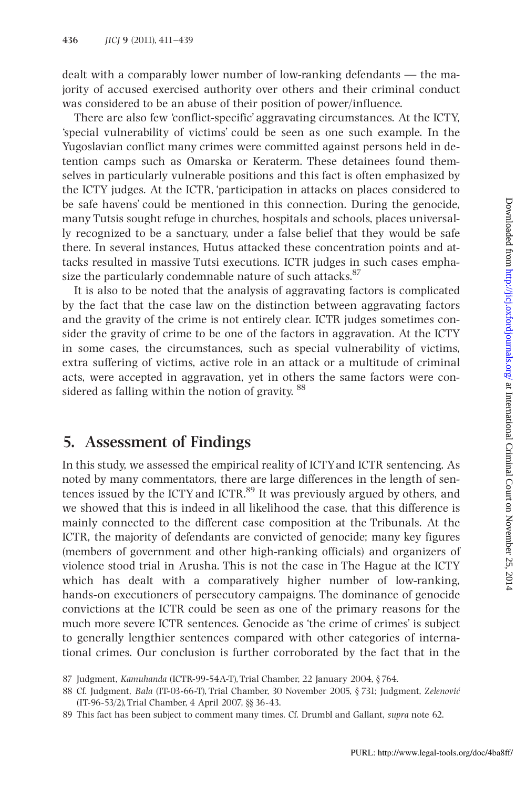dealt with a comparably lower number of low-ranking defendants  $-$  the majority of accused exercised authority over others and their criminal conduct was considered to be an abuse of their position of power/influence.

There are also few 'conflict-specific' aggravating circumstances. At the ICTY, 'special vulnerability of victims' could be seen as one such example. In the Yugoslavian conflict many crimes were committed against persons held in detention camps such as Omarska or Keraterm. These detainees found themselves in particularly vulnerable positions and this fact is often emphasized by the ICTY judges. At the ICTR, 'participation in attacks on places considered to be safe havens' could be mentioned in this connection. During the genocide, many Tutsis sought refuge in churches, hospitals and schools, places universally recognized to be a sanctuary, under a false belief that they would be safe there. In several instances, Hutus attacked these concentration points and attacks resulted in massive Tutsi executions. ICTR judges in such cases emphasize the particularly condemnable nature of such attacks.<sup>87</sup>

It is also to be noted that the analysis of aggravating factors is complicated by the fact that the case law on the distinction between aggravating factors and the gravity of the crime is not entirely clear. ICTR judges sometimes consider the gravity of crime to be one of the factors in aggravation. At the ICTY in some cases, the circumstances, such as special vulnerability of victims, extra suffering of victims, active role in an attack or a multitude of criminal acts, were accepted in aggravation, yet in others the same factors were considered as falling within the notion of gravity. <sup>88</sup>

# 5. Assessment of Findings

In this study, we assessed the empirical reality of ICTYand ICTR sentencing. As noted by many commentators, there are large differences in the length of sentences issued by the ICTY and ICTR.<sup>89</sup> It was previously argued by others, and we showed that this is indeed in all likelihood the case, that this difference is mainly connected to the different case composition at the Tribunals. At the ICTR, the majority of defendants are convicted of genocide; many key figures (members of government and other high-ranking officials) and organizers of violence stood trial in Arusha. This is not the case in The Hague at the ICTY which has dealt with a comparatively higher number of low-ranking, hands-on executioners of persecutory campaigns. The dominance of genocide convictions at the ICTR could be seen as one of the primary reasons for the much more severe ICTR sentences. Genocide as 'the crime of crimes' is subject to generally lengthier sentences compared with other categories of international crimes. Our conclusion is further corroborated by the fact that in the

<sup>87</sup> Judgment, Kamuhanda (ICTR-99-54A-T), Trial Chamber, 22 January 2004, §764.

<sup>88</sup> Cf. Judgment, Bala (IT-03-66-T), Trial Chamber, 30 November 2005, § 731; Judgment, Zelenović (IT-96-53/2), Trial Chamber, 4 April 2007, §§ 36-43.

<sup>89</sup> This fact has been subject to comment many times. Cf. Drumbl and Gallant, supra note 62.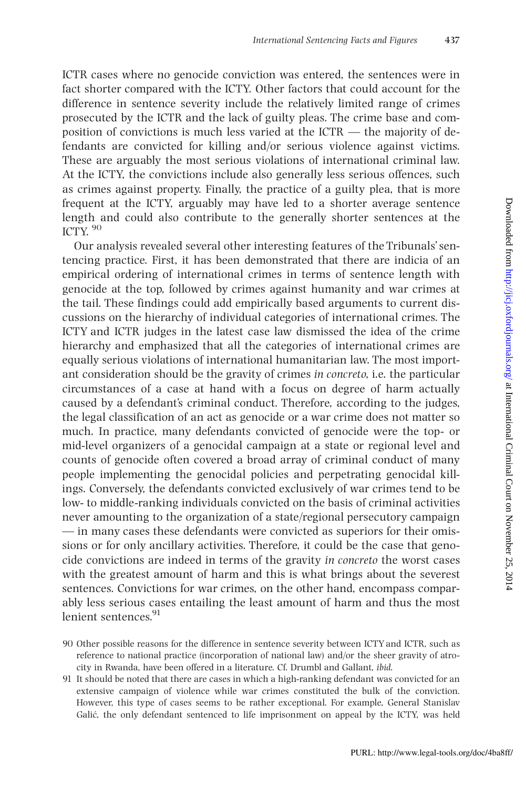ICTR cases where no genocide conviction was entered, the sentences were in fact shorter compared with the ICTY. Other factors that could account for the difference in sentence severity include the relatively limited range of crimes prosecuted by the ICTR and the lack of guilty pleas. The crime base and composition of convictions is much less varied at the ICTR — the majority of defendants are convicted for killing and/or serious violence against victims. These are arguably the most serious violations of international criminal law. At the ICTY, the convictions include also generally less serious offences, such as crimes against property. Finally, the practice of a guilty plea, that is more frequent at the ICTY, arguably may have led to a shorter average sentence length and could also contribute to the generally shorter sentences at the ICTY. <sup>90</sup>

Our analysis revealed several other interesting features of the Tribunals' sentencing practice. First, it has been demonstrated that there are indicia of an empirical ordering of international crimes in terms of sentence length with genocide at the top, followed by crimes against humanity and war crimes at the tail. These findings could add empirically based arguments to current discussions on the hierarchy of individual categories of international crimes. The ICTY and ICTR judges in the latest case law dismissed the idea of the crime hierarchy and emphasized that all the categories of international crimes are equally serious violations of international humanitarian law. The most important consideration should be the gravity of crimes in concreto, i.e. the particular circumstances of a case at hand with a focus on degree of harm actually caused by a defendant's criminal conduct. Therefore, according to the judges, the legal classification of an act as genocide or a war crime does not matter so much. In practice, many defendants convicted of genocide were the top- or mid-level organizers of a genocidal campaign at a state or regional level and counts of genocide often covered a broad array of criminal conduct of many people implementing the genocidal policies and perpetrating genocidal killings. Conversely, the defendants convicted exclusively of war crimes tend to be low- to middle-ranking individuals convicted on the basis of criminal activities never amounting to the organization of a state/regional persecutory campaign  $-$  in many cases these defendants were convicted as superiors for their omissions or for only ancillary activities. Therefore, it could be the case that genocide convictions are indeed in terms of the gravity in concreto the worst cases with the greatest amount of harm and this is what brings about the severest sentences. Convictions for war crimes, on the other hand, encompass comparably less serious cases entailing the least amount of harm and thus the most lenient sentences.<sup>91</sup>

<sup>90</sup> Other possible reasons for the difference in sentence severity between ICTY and ICTR, such as reference to national practice (incorporation of national law) and/or the sheer gravity of atrocity in Rwanda, have been offered in a literature. Cf. Drumbl and Gallant, ibid.

<sup>91</sup> It should be noted that there are cases in which a high-ranking defendant was convicted for an extensive campaign of violence while war crimes constituted the bulk of the conviction. However, this type of cases seems to be rather exceptional. For example, General Stanislav Galić, the only defendant sentenced to life imprisonment on appeal by the ICTY, was held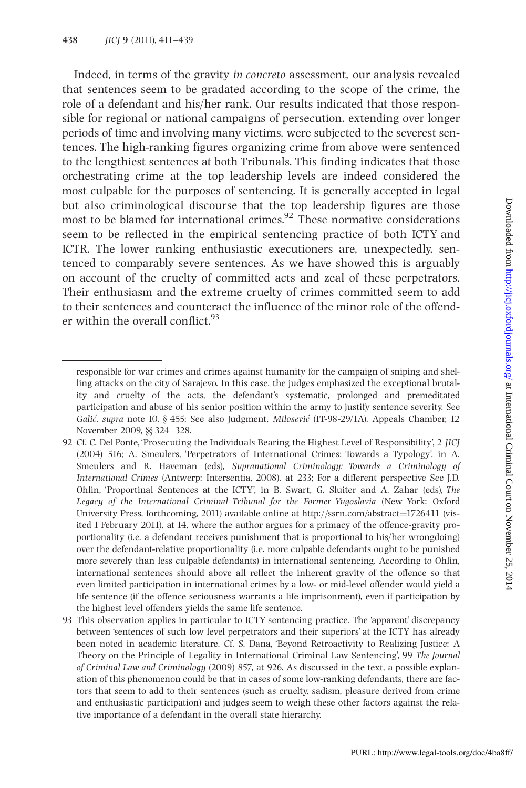Indeed, in terms of the gravity in concreto assessment, our analysis revealed that sentences seem to be gradated according to the scope of the crime, the role of a defendant and his/her rank. Our results indicated that those responsible for regional or national campaigns of persecution, extending over longer periods of time and involving many victims, were subjected to the severest sentences. The high-ranking figures organizing crime from above were sentenced to the lengthiest sentences at both Tribunals. This finding indicates that those orchestrating crime at the top leadership levels are indeed considered the most culpable for the purposes of sentencing. It is generally accepted in legal but also criminological discourse that the top leadership figures are those most to be blamed for international crimes.<sup>92</sup> These normative considerations seem to be reflected in the empirical sentencing practice of both ICTY and ICTR. The lower ranking enthusiastic executioners are, unexpectedly, sentenced to comparably severe sentences. As we have showed this is arguably on account of the cruelty of committed acts and zeal of these perpetrators. Their enthusiasm and the extreme cruelty of crimes committed seem to add to their sentences and counteract the influence of the minor role of the offender within the overall conflict.<sup>93</sup>

responsible for war crimes and crimes against humanity for the campaign of sniping and shelling attacks on the city of Sarajevo. In this case, the judges emphasized the exceptional brutality and cruelty of the acts, the defendant's systematic, prolonged and premeditated participation and abuse of his senior position within the army to justify sentence severity. See Galić, supra note 10, § 455; See also Judgment, Milosević (IT-98-29/1A), Appeals Chamber, 12 November 2009, §§ 324-328.

<sup>92</sup> Cf. C. Del Ponte,'Prosecuting the Individuals Bearing the Highest Level of Responsibility', 2 JICJ (2004) 516; A. Smeulers, 'Perpetrators of International Crimes: Towards a Typology', in A. Smeulers and R. Haveman (eds), Supranational Criminology: Towards a Criminology of International Crimes (Antwerp: Intersentia, 2008), at 233; For a different perspective See J.D. Ohlin, 'Proportinal Sentences at the ICTY', in B. Swart, G. Sluiter and A. Zahar (eds), The Legacy of the International Criminal Tribunal for the Former Yugoslavia (New York: Oxford University Press, forthcoming, 2011) available online at http://ssrn.com/abstract=1726411 (visited 1 February 2011), at 14, where the author argues for a primacy of the offence-gravity proportionality (i.e. a defendant receives punishment that is proportional to his/her wrongdoing) over the defendant-relative proportionality (i.e. more culpable defendants ought to be punished more severely than less culpable defendants) in international sentencing. According to Ohlin, international sentences should above all reflect the inherent gravity of the offence so that even limited participation in international crimes by a low- or mid-level offender would yield a life sentence (if the offence seriousness warrants a life imprisonment), even if participation by the highest level offenders yields the same life sentence.

<sup>93</sup> This observation applies in particular to ICTY sentencing practice. The 'apparent' discrepancy between 'sentences of such low level perpetrators and their superiors' at the ICTY has already been noted in academic literature. Cf. S. Dana, 'Beyond Retroactivity to Realizing Justice: A Theory on the Principle of Legality in International Criminal Law Sentencing', 99 The Journal of Criminal Law and Criminology (2009) 857, at 926. As discussed in the text, a possible explanation of this phenomenon could be that in cases of some low-ranking defendants, there are factors that seem to add to their sentences (such as cruelty, sadism, pleasure derived from crime and enthusiastic participation) and judges seem to weigh these other factors against the relative importance of a defendant in the overall state hierarchy.